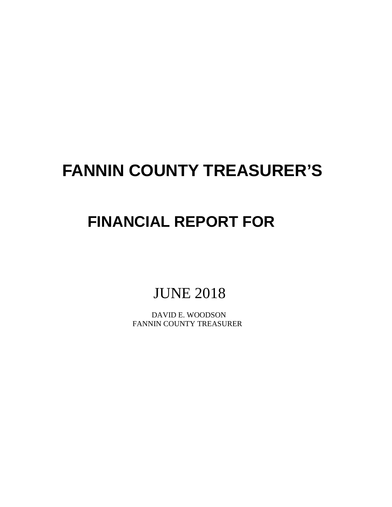# **FANNIN COUNTY TREASURER'S**

# **FINANCIAL REPORT FOR**

JUNE 2018

 DAVID E. WOODSON FANNIN COUNTY TREASURER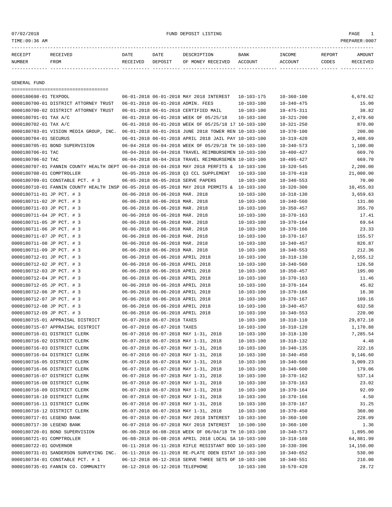# 07/02/2018 FUND DEPOSIT LISTING PAGE 1

| RECEIPT | RECEIVED | DATE | DATE | DESCRIPTION                                | BANK | INCOME  | REPORT | <b>AMOUNT</b> |
|---------|----------|------|------|--------------------------------------------|------|---------|--------|---------------|
| NUMBER  | FROM     |      |      | RECEIVED DEPOSIT OF MONEY RECEIVED ACCOUNT |      | ACCOUNT | CODES  | RECEIVED      |
|         |          |      |      |                                            |      |         |        |               |

GENERAL FUND

|                           | ====================================                                                        |                                  |                                                      |                  |                  |           |
|---------------------------|---------------------------------------------------------------------------------------------|----------------------------------|------------------------------------------------------|------------------|------------------|-----------|
| 0000180698-01 TEXPOOL     |                                                                                             |                                  | 06-01-2018 06-01-2018 MAY 2018 INTEREST              | $10 - 103 - 175$ | $10 - 360 - 100$ | 6,678.62  |
|                           | 0000180700-01 DISTRICT ATTORNEY TRUST                                                       |                                  | 06-01-2018 06-01-2018 ADMIN. FEES                    | $10 - 103 - 100$ | $10 - 340 - 475$ | 15.00     |
|                           | 0000180700-02 DISTRICT ATTORNEY TRUST                                                       |                                  | 06-01-2018 06-01-2018 CERTIFIED MAIL                 | $10 - 103 - 100$ | $10 - 475 - 311$ | 38.82     |
| 0000180701-01 TAX A/C     |                                                                                             |                                  | 06-01-2018 06-01-2018 WEEK OF 05/25/18               | $10 - 103 - 100$ | $10 - 321 - 200$ | 2,479.60  |
| 0000180702-01 TAX A/C     |                                                                                             |                                  | 06-01-2018 06-01-2018 WEEK OF 05/25/18 17 10-103-100 |                  | $10 - 321 - 250$ | 870.00    |
|                           | 0000180703-01 VISION MEDIA GROUP, INC.                                                      |                                  | 06-01-2018 06-01-2018 JUNE 2018 TOWER REN 10-103-100 |                  | $10 - 370 - 100$ | 200.00    |
| 0000180704-01 SECURUS     |                                                                                             |                                  | 06-01-2018 06-01-2018 APRIL 2018 JAIL PAY 10-103-100 |                  | $10 - 319 - 420$ | 3,408.69  |
|                           | 0000180705-01 BOND SUPERVISION                                                              |                                  | 06-04-2018 06-04-2018 WEEK OF 05/29/18 TH 10-103-100 |                  | $10 - 340 - 573$ | 1,100.00  |
| 0000180706-01 TAC         |                                                                                             |                                  | 06-04-2018 06-04-2018 TRAVEL REIMBURSEMEN 10-103-100 |                  | $10 - 400 - 427$ | 669.70    |
| 0000180706-02 TAC         |                                                                                             |                                  | 06-04-2018 06-04-2018 TRAVEL REIMBURSEMEN 10-103-100 |                  | 10-495-427       | 669.70    |
|                           | 0000180707-01 FANNIN COUNTY HEALTH DEPT 06-04-2018 06-04-2018 MAY 2018 PERFITS & 10-103-100 |                                  |                                                      |                  | $10 - 320 - 545$ | 2,200.00  |
| 0000180708-01 COMPTROLLER |                                                                                             |                                  | 06-05-2018 06-05-2018 Q3 CCL SUPPLEMENT              | $10 - 103 - 100$ | $10 - 370 - 410$ | 21,000.00 |
|                           | 0000180709-01 CONSTABLE PCT. # 3                                                            |                                  | 06-05-2018 06-05-2018 SERVE PAPERS                   | $10 - 103 - 100$ | $10 - 340 - 553$ | 70.00     |
|                           | 0000180710-01 FANNIN COUNTY HEALTH INSP 06-05-2018 06-05-2018 MAY 2018 PERMITS & 10-103-100 |                                  |                                                      |                  | $10 - 320 - 300$ | 10,455.03 |
| 0000180711-01 JP PCT. # 3 |                                                                                             | 06-06-2018 06-06-2018 MAR. 2018  |                                                      | $10 - 103 - 100$ | $10 - 318 - 130$ | 3,659.63  |
| 0000180711-02 JP PCT. # 3 |                                                                                             | 06-06-2018 06-06-2018 MAR. 2018  |                                                      | $10 - 103 - 100$ | $10 - 340 - 560$ | 131.80    |
| 0000180711-03 JP PCT. # 3 |                                                                                             | 06-06-2018 06-06-2018 MAR. 2018  |                                                      | $10 - 103 - 100$ | $10 - 350 - 457$ | 355.70    |
| 0000180711-04 JP PCT. # 3 |                                                                                             | 06-06-2018 06-06-2018 MAR. 2018  |                                                      | $10 - 103 - 100$ | $10 - 370 - 163$ | 17.41     |
| 0000180711-05 JP PCT. # 3 |                                                                                             | 06-06-2018 06-06-2018 MAR. 2018  |                                                      | $10 - 103 - 100$ | $10 - 370 - 164$ | 69.64     |
| 0000180711-06 JP PCT. # 3 |                                                                                             | 06-06-2018 06-06-2018 MAR, 2018  |                                                      | $10 - 103 - 100$ | $10 - 370 - 166$ | 23.33     |
| 0000180711-07 JP PCT. # 3 |                                                                                             | 06-06-2018 06-06-2018 MAR. 2018  |                                                      | $10 - 103 - 100$ | $10 - 370 - 167$ | 155.57    |
| 0000180711-08 JP PCT. # 3 |                                                                                             | 06-06-2018 06-06-2018 MAR. 2018  |                                                      | $10 - 103 - 100$ | $10 - 340 - 457$ | 826.87    |
| 0000180711-09 JP PCT. # 3 |                                                                                             | 06-06-2018 06-06-2018 MAR. 2018  |                                                      | $10 - 103 - 100$ | $10 - 340 - 553$ | 212.36    |
| 0000180712-01 JP PCT. # 3 |                                                                                             | 06-06-2018 06-06-2018 APRIL 2018 |                                                      | $10 - 103 - 100$ | $10 - 318 - 130$ | 2,555.12  |
| 0000180712-02 JP PCT. # 3 |                                                                                             | 06-06-2018 06-06-2018 APRIL 2018 |                                                      | $10 - 103 - 100$ | $10 - 340 - 560$ | 126.58    |
| 0000180712-03 JP PCT. # 3 |                                                                                             | 06-06-2018 06-06-2018 APRIL 2018 |                                                      | $10 - 103 - 100$ | $10 - 350 - 457$ | 195.00    |
| 0000180712-04 JP PCT. # 3 |                                                                                             | 06-06-2018 06-06-2018 APRIL 2018 |                                                      | $10 - 103 - 100$ | $10 - 370 - 163$ | 11.46     |
| 0000180712-05 JP PCT. # 3 |                                                                                             | 06-06-2018 06-06-2018 APRIL 2018 |                                                      | $10 - 103 - 100$ | $10 - 370 - 164$ | 45.82     |
| 0000180712-06 JP PCT. # 3 |                                                                                             | 06-06-2018 06-06-2018 APRIL 2018 |                                                      | $10 - 103 - 100$ | $10 - 370 - 166$ | 16.38     |
| 0000180712-07 JP PCT. # 3 |                                                                                             | 06-06-2018 06-06-2018 APRIL 2018 |                                                      | $10 - 103 - 100$ | $10 - 370 - 167$ | 109.16    |
| 0000180712-08 JP PCT. # 3 |                                                                                             | 06-06-2018 06-06-2018 APRIL 2018 |                                                      | $10 - 103 - 100$ | $10 - 340 - 457$ | 632.58    |
| 0000180712-09 JP PCT. # 3 |                                                                                             | 06-06-2018 06-06-2018 APRIL 2018 |                                                      | $10 - 103 - 100$ | $10 - 340 - 553$ | 220.00    |
|                           | 0000180715-01 APPRAISAL DISTRICT                                                            | 06-07-2018 06-07-2018 TAXES      |                                                      | $10 - 103 - 100$ | $10 - 310 - 110$ | 29,872.18 |
|                           | 0000180715-07 APPRAISAL DISTRICT                                                            | 06-07-2018 06-07-2018 TAXES      |                                                      | $10 - 103 - 100$ | $10 - 310 - 120$ | 1,170.88  |
|                           | 0000180716-01 DISTRICT CLERK                                                                |                                  | 06-07-2018 06-07-2018 MAY 1-31, 2018                 | $10 - 103 - 100$ | $10 - 318 - 130$ | 7,285.54  |
|                           | 0000180716-02 DISTRICT CLERK                                                                |                                  | 06-07-2018 06-07-2018 MAY 1-31, 2018                 | $10 - 103 - 100$ | $10 - 318 - 132$ | 4.48      |
|                           | 0000180716-03 DISTRICT CLERK                                                                |                                  | 06-07-2018 06-07-2018 MAY 1-31, 2018                 | $10 - 103 - 100$ | $10 - 340 - 135$ | 222.16    |
|                           | 0000180716-04 DISTRICT CLERK                                                                |                                  | 06-07-2018 06-07-2018 MAY 1-31, 2018                 | $10 - 103 - 100$ | $10 - 340 - 450$ | 9,146.60  |
|                           | 0000180716-05 DISTRICT CLERK                                                                |                                  | 06-07-2018 06-07-2018 MAY 1-31, 2018                 | $10 - 103 - 100$ | $10 - 340 - 560$ | 3,009.23  |
|                           | 0000180716-06 DISTRICT CLERK                                                                |                                  | 06-07-2018 06-07-2018 MAY 1-31, 2018                 | $10 - 103 - 100$ | $10 - 340 - 600$ | 179.06    |
|                           | 0000180716-07 DISTRICT CLERK                                                                |                                  | 06-07-2018 06-07-2018 MAY 1-31, 2018                 | $10 - 103 - 100$ | $10 - 370 - 162$ | 537.14    |
|                           | 0000180716-08 DISTRICT CLERK                                                                |                                  | 06-07-2018 06-07-2018 MAY 1-31, 2018                 | $10 - 103 - 100$ | $10 - 370 - 163$ | 23.02     |
|                           | 0000180716-09 DISTRICT CLERK                                                                |                                  | 06-07-2018 06-07-2018 MAY 1-31, 2018                 | $10 - 103 - 100$ | $10 - 370 - 164$ | 92.09     |
|                           | 0000180716-10 DISTRICT CLERK                                                                |                                  | 06-07-2018 06-07-2018 MAY 1-31, 2018                 | $10 - 103 - 100$ | $10 - 370 - 166$ | 4.50      |
|                           | 0000180716-11 DISTRICT CLERK                                                                |                                  | 06-07-2018 06-07-2018 MAY 1-31, 2018                 | $10 - 103 - 100$ | $10 - 370 - 167$ | 31.25     |
|                           | 0000180716-12 DISTRICT CLERK                                                                |                                  | 06-07-2018 06-07-2018 MAY 1-31, 2018                 | $10 - 103 - 100$ | $10 - 370 - 450$ | 360.00    |
| 0000180717-01 LEGEND BANK |                                                                                             |                                  | 06-07-2018 06-07-2018 MAY 2018 INTEREST              | $10 - 103 - 100$ | $10 - 360 - 100$ | 228.09    |
| 0000180717-30 LEGEND BANK |                                                                                             |                                  | 06-07-2018 06-07-2018 MAY 2018 INTEREST              | $10 - 100 - 100$ | $10 - 360 - 100$ | 1.36      |
|                           | 0000180720-01 BOND SUPERVISION                                                              |                                  | 06-08-2018 06-08-2018 WEEK OF 06/04/18 TH 10-103-100 |                  | $10 - 340 - 573$ | 1,895.00  |
| 0000180721-01 COMPTROLLER |                                                                                             |                                  | 06-08-2018 06-08-2018 APRIL 2018 LOCAL SA 10-103-100 |                  | $10 - 318 - 160$ | 64,881.99 |
| 0000180722-01 GOVERNOR    |                                                                                             |                                  | 06-11-2018 06-11-2018 RIFLE RESISTANT BOD 10-103-100 |                  | $10 - 330 - 396$ | 14,150.00 |
|                           | 0000180731-01 SANDERSON SURVEYING INC.                                                      |                                  | 06-11-2018 06-11-2018 RE-PLATE ODEN ESTAT 10-103-100 |                  | $10 - 340 - 652$ | 530.00    |
|                           | 0000180734-01 CONSTABLE PCT. # 1                                                            |                                  | 06-12-2018 06-12-2018 SERVE THREE SETS OF 10-103-100 |                  | $10 - 340 - 551$ | 210.00    |
|                           | 0000180735-01 FANNIN CO. COMMUNITY                                                          | 06-12-2018 06-12-2018 TELEPHONE  |                                                      | $10 - 103 - 100$ | $10 - 570 - 420$ | 28.72     |
|                           |                                                                                             |                                  |                                                      |                  |                  |           |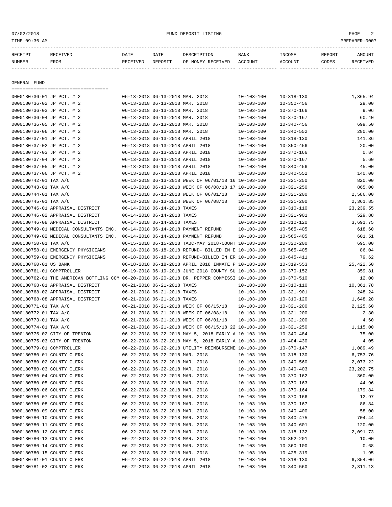# 07/02/2018 FUND DEPOSIT LISTING PAGE 2

| RECEIPT                            | RECEIVED | DATE     | DATE                            | DESCRIPTION |                   | <b>BANK</b>      | INCOME           | REPORT | AMOUNT   |
|------------------------------------|----------|----------|---------------------------------|-------------|-------------------|------------------|------------------|--------|----------|
| NUMBER                             | FROM     | RECEIVED | DEPOSIT                         |             | OF MONEY RECEIVED | ACCOUNT          | ACCOUNT          | CODES  | RECEIVED |
|                                    |          |          |                                 |             |                   |                  |                  |        |          |
|                                    |          |          |                                 |             |                   |                  |                  |        |          |
| GENERAL FUND                       |          |          |                                 |             |                   |                  |                  |        |          |
|                                    |          |          |                                 |             |                   |                  |                  |        |          |
| 0000180736-01 JP PCT. # 2          |          |          | 06-13-2018 06-13-2018 MAR. 2018 |             |                   | $10 - 103 - 100$ | $10 - 318 - 130$ |        | 1,365.94 |
| 0000180736-02 JP PCT. # 2          |          |          | 06-13-2018 06-13-2018 MAR. 2018 |             |                   | $10 - 103 - 100$ | $10 - 350 - 456$ |        | 29.00    |
| $0.000180736 - 03$ . The prime # 2 |          |          | 06-13-2018 06-13-2018 MAR 2018  |             |                   | $10 - 103 - 100$ | $10 - 370 - 166$ |        | 9 06     |

| 0000180736-03 JP PCT. # 2                                                                    | 06-13-2018 06-13-2018 MAR. 2018  |                                                      | $10 - 103 - 100$ | $10 - 370 - 166$ | 9.06        |
|----------------------------------------------------------------------------------------------|----------------------------------|------------------------------------------------------|------------------|------------------|-------------|
| 0000180736-04 JP PCT. # 2                                                                    | 06-13-2018 06-13-2018 MAR. 2018  |                                                      | $10 - 103 - 100$ | $10 - 370 - 167$ | 60.40       |
| 0000180736-05 JP PCT. # 2                                                                    | 06-13-2018 06-13-2018 MAR. 2018  |                                                      | $10 - 103 - 100$ | $10 - 340 - 456$ | 699.50      |
| 0000180736-06 JP PCT. # 2                                                                    | 06-13-2018 06-13-2018 MAR. 2018  |                                                      | $10 - 103 - 100$ | $10 - 340 - 552$ | 280.00      |
| 0000180737-01 JP PCT. # 2                                                                    |                                  | 06-13-2018 06-13-2018 APRIL 2018                     | $10 - 103 - 100$ | $10 - 318 - 130$ | 141.36      |
| 0000180737-02 JP PCT. # 2                                                                    |                                  | 06-13-2018 06-13-2018 APRIL 2018                     | $10 - 103 - 100$ | $10 - 350 - 456$ | 20.00       |
| 0000180737-03 JP PCT. # 2                                                                    |                                  | 06-13-2018 06-13-2018 APRIL 2018                     | $10 - 103 - 100$ | $10 - 370 - 166$ | 0.84        |
| 0000180737-04 JP PCT. # 2                                                                    |                                  | 06-13-2018 06-13-2018 APRIL 2018                     | $10 - 103 - 100$ | $10 - 370 - 167$ | 5.60        |
| 0000180737-05 JP PCT. # 2                                                                    |                                  | 06-13-2018 06-13-2018 APRIL 2018                     | $10 - 103 - 100$ | $10 - 340 - 456$ | 45.00       |
| 0000180737-06 JP PCT. # 2                                                                    |                                  | 06-13-2018 06-13-2018 APRIL 2018                     | $10 - 103 - 100$ | $10 - 340 - 552$ | 140.00      |
| 0000180742-01 TAX A/C                                                                        |                                  | 06-13-2018 06-13-2018 WEEK OF 06/01/18 16 10-103-100 |                  | $10 - 321 - 250$ | 820.00      |
| 0000180743-01 TAX A/C                                                                        |                                  | 06-13-2018 06-13-2018 WEEK OF 06/08/18 17 10-103-100 |                  | $10 - 321 - 250$ | 865.00      |
| 0000180744-01 TAX A/C                                                                        |                                  | 06-13-2018 06-13-2018 WEEK OF 06/01/18               | $10 - 103 - 100$ | $10 - 321 - 200$ | 2,586.00    |
| 0000180745-01 TAX A/C                                                                        |                                  | 06-13-2018 06-13-2018 WEEK OF 06/08/18               | $10 - 103 - 100$ | $10 - 321 - 200$ | 2,361.85    |
| 0000180746-01 APPRAISAL DISTRICT                                                             | 06-14-2018 06-14-2018 TAXES      |                                                      | $10 - 103 - 100$ | $10 - 310 - 110$ | 23, 239.55  |
| 0000180746-02 APPRAISAL DISTRICT                                                             | 06-14-2018 06-14-2018 TAXES      |                                                      | $10 - 103 - 100$ | $10 - 321 - 901$ | 529.88      |
| 0000180746-08 APPRAISAL DISTRICT                                                             | 06-14-2018 06-14-2018 TAXES      |                                                      | $10 - 103 - 100$ | $10 - 310 - 120$ | 3,691.75    |
| 0000180749-01 MEDICAL CONSULTANTS INC.                                                       |                                  | 06-14-2018 06-14-2018 PAYMENT REFUND                 | $10 - 103 - 100$ | $10 - 565 - 405$ | 618.60      |
| 0000180749-02 MEDICAL CONSULTANTS INC.                                                       |                                  | 06-14-2018 06-14-2018 PAYMENT REFUND                 | $10 - 103 - 100$ | $10 - 565 - 405$ | 601.51      |
| 0000180750-01 TAX A/C                                                                        |                                  | 06-15-2018 06-15-2018 TABC-MAY 2018-COUNT 10-103-100 |                  | $10 - 320 - 200$ | 695.00      |
| 0000180758-01 EMERGENCY PHYSICIANS                                                           |                                  | 06-18-2018 06-18-2018 REFUND- BILLED IN E 10-103-100 |                  | $10 - 565 - 405$ | 86.04       |
| 0000180759-01 EMERGENCY PHYSICIANS                                                           |                                  | 06-18-2018 06-18-2018 REFUND-BILLED IN ER 10-103-100 |                  | $10 - 645 - 411$ | 79.62       |
|                                                                                              |                                  |                                                      |                  |                  |             |
| 0000180760-01 US BANK                                                                        |                                  | 06-18-2018 06-18-2018 APRIL 2018 INMATE P 10-103-100 |                  | $10 - 319 - 553$ | 25,422.50   |
| 0000180761-01 COMPTROLLER                                                                    |                                  | 06-19-2018 06-19-2018 JUNE 2018 COUNTY SU 10-103-100 |                  | $10 - 370 - 152$ | 359.81      |
| 0000180762-01 THE AMERICAN BOTTLING COM 06-20-2018 06-20-2018 DR. PEPPER COMMISSI 10-103-100 |                                  |                                                      |                  | $10 - 370 - 510$ | 12.00       |
| 0000180768-01 APPRAISAL DISTRICT                                                             | 06-21-2018 06-21-2018 TAXES      |                                                      | $10 - 103 - 100$ | $10 - 310 - 110$ | 10,361.78   |
| 0000180768-02 APPRAISAL DISTRICT                                                             | 06-21-2018 06-21-2018 TAXES      |                                                      | $10 - 103 - 100$ | $10 - 321 - 901$ | 248.24      |
| 0000180768-08 APPRAISAL DISTRICT                                                             | 06-21-2018 06-21-2018 TAXES      |                                                      | $10 - 103 - 100$ | $10 - 310 - 120$ | 1,648.28    |
| 0000180771-01 TAX A/C                                                                        |                                  | 06-21-2018 06-21-2018 WEEK OF 06/15/18               | $10 - 103 - 100$ | $10 - 321 - 200$ | 2,125.60    |
| 0000180772-01 TAX A/C                                                                        |                                  | 06-21-2018 06-21-2018 WEEK OF 06/08/18               | $10 - 103 - 100$ | $10 - 321 - 200$ | 2.30        |
| 0000180773-01 TAX A/C                                                                        |                                  | 06-21-2018 06-21-2018 WEEK OF 06/01/18               | $10 - 103 - 100$ | $10 - 321 - 200$ | 4.60        |
| 0000180774-01 TAX A/C                                                                        |                                  | 06-21-2018 06-21-2018 WEEK OF 06/15/18 22 10-103-100 |                  | $10 - 321 - 250$ | 1,115.00    |
| 0000180775-02 CITY OF TRENTON                                                                |                                  | 06-22-2018 06-22-2018 MAY 5, 2018 EARLY A 10-103-100 |                  | $10 - 340 - 484$ | 75.00       |
| 0000180775-03 CITY OF TRENTON                                                                |                                  | 06-22-2018 06-22-2018 MAY 5, 2018 EARLY A 10-103-100 |                  | $10 - 404 - 430$ | 4.05        |
| 0000180779-01 COMPTROLLER                                                                    |                                  | 06-22-2018 06-22-2018 UTILITY REIMBURSEME 10-103-100 |                  | $10 - 370 - 147$ | 1,089.49    |
| 0000180780-01 COUNTY CLERK                                                                   | 06-22-2018 06-22-2018 MAR. 2018  |                                                      | $10 - 103 - 100$ | $10 - 318 - 130$ | 6,753.76    |
| 0000180780-02 COUNTY CLERK                                                                   | 06-22-2018 06-22-2018 MAR. 2018  |                                                      | $10 - 103 - 100$ | $10 - 340 - 560$ | 2,073.22    |
| 0000180780-03 COUNTY CLERK                                                                   | 06-22-2018 06-22-2018 MAR. 2018  |                                                      | $10 - 103 - 100$ | $10 - 340 - 403$ | 23, 202. 75 |
| 0000180780-04 COUNTY CLERK                                                                   | 06-22-2018 06-22-2018 MAR. 2018  |                                                      | $10 - 103 - 100$ | $10 - 370 - 162$ | 360.00      |
| 0000180780-05 COUNTY CLERK                                                                   | 06-22-2018 06-22-2018 MAR. 2018  |                                                      | $10 - 103 - 100$ | $10 - 370 - 163$ | 44.96       |
| 0000180780-06 COUNTY CLERK                                                                   | 06-22-2018 06-22-2018 MAR. 2018  |                                                      | $10 - 103 - 100$ | $10 - 370 - 164$ | 179.84      |
| 0000180780-07 COUNTY CLERK                                                                   | 06-22-2018 06-22-2018 MAR. 2018  |                                                      | $10 - 103 - 100$ | $10 - 370 - 166$ | 12.97       |
| 0000180780-08 COUNTY CLERK                                                                   | 06-22-2018 06-22-2018 MAR. 2018  |                                                      | $10 - 103 - 100$ | $10 - 370 - 167$ | 86.84       |
| 0000180780-09 COUNTY CLERK                                                                   | 06-22-2018 06-22-2018 MAR. 2018  |                                                      | $10 - 103 - 100$ | $10 - 340 - 400$ | 58.00       |
| 0000180780-10 COUNTY CLERK                                                                   | 06-22-2018 06-22-2018 MAR. 2018  |                                                      | $10 - 103 - 100$ | $10 - 340 - 475$ | 704.44      |
| 0000180780-11 COUNTY CLERK                                                                   | 06-22-2018 06-22-2018 MAR. 2018  |                                                      | $10 - 103 - 100$ | $10 - 340 - 601$ | 120.00      |
| 0000180780-12 COUNTY CLERK                                                                   | 06-22-2018 06-22-2018 MAR. 2018  |                                                      | $10 - 103 - 100$ | $10 - 318 - 132$ | 2,091.73    |
| 0000180780-13 COUNTY CLERK                                                                   | 06-22-2018 06-22-2018 MAR. 2018  |                                                      | $10 - 103 - 100$ | $10 - 352 - 201$ | 10.00       |
| 0000180780-14 COUNTY CLERK                                                                   | 06-22-2018 06-22-2018 MAR. 2018  |                                                      | $10 - 103 - 100$ | $10 - 360 - 100$ | 0.68        |
| 0000180780-15 COUNTY CLERK                                                                   | 06-22-2018 06-22-2018 MAR. 2018  |                                                      | $10 - 103 - 100$ | $10 - 425 - 319$ | 1.95        |
| 0000180781-01 COUNTY CLERK                                                                   | 06-22-2018 06-22-2018 APRIL 2018 |                                                      | $10 - 103 - 100$ | $10 - 318 - 130$ | 6,854.06    |
| 0000180781-02 COUNTY CLERK                                                                   | 06-22-2018 06-22-2018 APRIL 2018 |                                                      | $10 - 103 - 100$ | $10 - 340 - 560$ | 2,311.13    |
|                                                                                              |                                  |                                                      |                  |                  |             |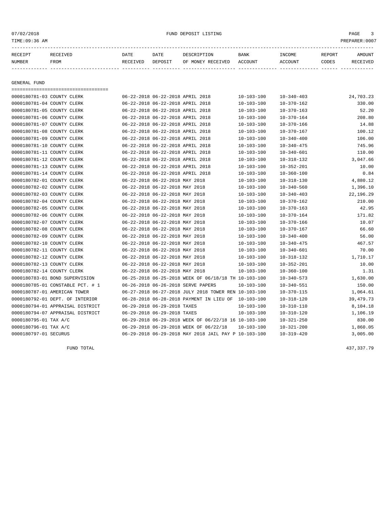| RECEIPT<br>NUMBER          | RECEIVED<br>FROM | DATE<br>RECEIVED | DATE<br>DEPOSIT                  | DESCRIPTION<br>OF MONEY RECEIVED | <b>BANK</b><br>ACCOUNT | INCOME<br>ACCOUNT | REPORT<br>CODES | AMOUNT<br>RECEIVED |
|----------------------------|------------------|------------------|----------------------------------|----------------------------------|------------------------|-------------------|-----------------|--------------------|
|                            |                  |                  |                                  |                                  |                        |                   |                 |                    |
| GENERAL FUND               |                  |                  |                                  |                                  |                        |                   |                 |                    |
|                            |                  |                  |                                  |                                  |                        |                   |                 |                    |
| 0000180781-03 COUNTY CLERK |                  |                  | 06-22-2018 06-22-2018 APRIL 2018 |                                  | $10 - 103 - 100$       | $10 - 340 - 403$  |                 | 24,703.23          |

| UUUULSU / 81-U3 COUNTY CLERK     |                                  | 00-22-2018 00-22-2018 APRIL 2018 |                                                      | $10 - 103 - 100$ | $10 - 340 - 403$ | 24,703.23 |
|----------------------------------|----------------------------------|----------------------------------|------------------------------------------------------|------------------|------------------|-----------|
| 0000180781-04 COUNTY CLERK       |                                  | 06-22-2018 06-22-2018 APRIL 2018 |                                                      | $10 - 103 - 100$ | $10 - 370 - 162$ | 330.00    |
| 0000180781-05 COUNTY CLERK       | 06-22-2018 06-22-2018 APRIL 2018 |                                  |                                                      | $10 - 103 - 100$ | $10 - 370 - 163$ | 52.20     |
| 0000180781-06 COUNTY CLERK       | 06-22-2018 06-22-2018 APRIL 2018 |                                  |                                                      | $10 - 103 - 100$ | $10 - 370 - 164$ | 208.80    |
| 0000180781-07 COUNTY CLERK       |                                  | 06-22-2018 06-22-2018 APRIL 2018 |                                                      | $10 - 103 - 100$ | $10 - 370 - 166$ | 14.88     |
| 0000180781-08 COUNTY CLERK       |                                  | 06-22-2018 06-22-2018 APRIL 2018 |                                                      | $10 - 103 - 100$ | $10 - 370 - 167$ | 100.12    |
| 0000180781-09 COUNTY CLERK       |                                  | 06-22-2018 06-22-2018 APRIL 2018 |                                                      | $10 - 103 - 100$ | $10 - 340 - 400$ | 106.00    |
| 0000180781-10 COUNTY CLERK       |                                  | 06-22-2018 06-22-2018 APRIL 2018 |                                                      | $10 - 103 - 100$ | $10 - 340 - 475$ | 745.96    |
| 0000180781-11 COUNTY CLERK       |                                  | 06-22-2018 06-22-2018 APRIL 2018 |                                                      | $10 - 103 - 100$ | $10 - 340 - 601$ | 110.00    |
| 0000180781-12 COUNTY CLERK       |                                  | 06-22-2018 06-22-2018 APRIL 2018 |                                                      | $10 - 103 - 100$ | $10 - 318 - 132$ | 3,047.66  |
| 0000180781-13 COUNTY CLERK       | 06-22-2018 06-22-2018 APRIL 2018 |                                  |                                                      | $10 - 103 - 100$ | $10 - 352 - 201$ | 10.00     |
| 0000180781-14 COUNTY CLERK       | 06-22-2018 06-22-2018 APRIL 2018 |                                  |                                                      | $10 - 103 - 100$ | $10 - 360 - 100$ | 0.84      |
| 0000180782-01 COUNTY CLERK       | 06-22-2018 06-22-2018 MAY 2018   |                                  |                                                      | $10 - 103 - 100$ | $10 - 318 - 130$ | 4,880.12  |
| 0000180782-02 COUNTY CLERK       | 06-22-2018 06-22-2018 MAY 2018   |                                  |                                                      | $10 - 103 - 100$ | $10 - 340 - 560$ | 1,396.10  |
| 0000180782-03 COUNTY CLERK       | 06-22-2018 06-22-2018 MAY 2018   |                                  |                                                      | $10 - 103 - 100$ | $10 - 340 - 403$ | 22,196.29 |
| 0000180782-04 COUNTY CLERK       | 06-22-2018 06-22-2018 MAY 2018   |                                  |                                                      | $10 - 103 - 100$ | $10 - 370 - 162$ | 210.00    |
| 0000180782-05 COUNTY CLERK       |                                  | 06-22-2018 06-22-2018 MAY 2018   |                                                      | $10 - 103 - 100$ | $10 - 370 - 163$ | 42.95     |
| 0000180782-06 COUNTY CLERK       | 06-22-2018 06-22-2018 MAY 2018   |                                  |                                                      | $10 - 103 - 100$ | $10 - 370 - 164$ | 171.82    |
| 0000180782-07 COUNTY CLERK       |                                  | 06-22-2018 06-22-2018 MAY 2018   |                                                      | $10 - 103 - 100$ | $10 - 370 - 166$ | 10.07     |
| 0000180782-08 COUNTY CLERK       |                                  | 06-22-2018 06-22-2018 MAY 2018   |                                                      | $10 - 103 - 100$ | $10 - 370 - 167$ | 66.60     |
| 0000180782-09 COUNTY CLERK       |                                  | 06-22-2018 06-22-2018 MAY 2018   |                                                      | $10 - 103 - 100$ | $10 - 340 - 400$ | 56.00     |
| 0000180782-10 COUNTY CLERK       |                                  | 06-22-2018 06-22-2018 MAY 2018   |                                                      | $10 - 103 - 100$ | $10 - 340 - 475$ | 467.57    |
| 0000180782-11 COUNTY CLERK       | 06-22-2018 06-22-2018 MAY 2018   |                                  |                                                      | $10 - 103 - 100$ | $10 - 340 - 601$ | 70.00     |
| 0000180782-12 COUNTY CLERK       | 06-22-2018 06-22-2018 MAY 2018   |                                  |                                                      | $10 - 103 - 100$ | $10 - 318 - 132$ | 1,710.17  |
| 0000180782-13 COUNTY CLERK       | 06-22-2018 06-22-2018 MAY 2018   |                                  |                                                      | $10 - 103 - 100$ | $10 - 352 - 201$ | 10.00     |
| 0000180782-14 COUNTY CLERK       | 06-22-2018 06-22-2018 MAY 2018   |                                  |                                                      | 10-103-100       | $10 - 360 - 100$ | 1.31      |
| 0000180783-01 BOND SUPERVISION   |                                  |                                  | 06-25-2018 06-25-2018 WEEK OF 06/18/18 TH 10-103-100 |                  | $10 - 340 - 573$ | 1,630.00  |
| 0000180785-01 CONSTABLE PCT. # 1 |                                  |                                  | 06-26-2018 06-26-2018 SERVE PAPERS                   | $10 - 103 - 100$ | $10 - 340 - 551$ | 150.00    |
| 0000180787-01 AMERICAN TOWER     |                                  |                                  | 06-27-2018 06-27-2018 JULY 2018 TOWER REN 10-103-100 |                  | $10 - 370 - 115$ | 1,064.61  |
| 0000180792-01 DEPT. OF INTERIOR  |                                  |                                  | 06-28-2018 06-28-2018 PAYMENT IN LIEU OF 10-103-100  |                  | $10 - 318 - 120$ | 39,479.73 |
| 0000180794-01 APPRAISAL DISTRICT |                                  | 06-29-2018 06-29-2018 TAXES      |                                                      | $10 - 103 - 100$ | $10 - 310 - 110$ | 8,104.18  |
| 0000180794-07 APPRAISAL DISTRICT |                                  | 06-29-2018 06-29-2018 TAXES      |                                                      | $10 - 103 - 100$ | $10 - 310 - 120$ | 1,106.19  |
| 0000180795-01 TAX A/C            |                                  |                                  | 06-29-2018 06-29-2018 WEEK OF 06/22/18 16 10-103-100 |                  | $10 - 321 - 250$ | 830.00    |
| 0000180796-01 TAX A/C            |                                  |                                  | 06-29-2018 06-29-2018 WEEK OF 06/22/18               | $10 - 103 - 100$ | $10 - 321 - 200$ | 1,860.05  |
| 0000180797-01 SECURUS            |                                  |                                  | 06-29-2018 06-29-2018 MAY 2018 JAIL PAY P 10-103-100 |                  | $10 - 319 - 420$ | 3,005.00  |
|                                  |                                  |                                  |                                                      |                  |                  |           |

FUND TOTAL 437,337.79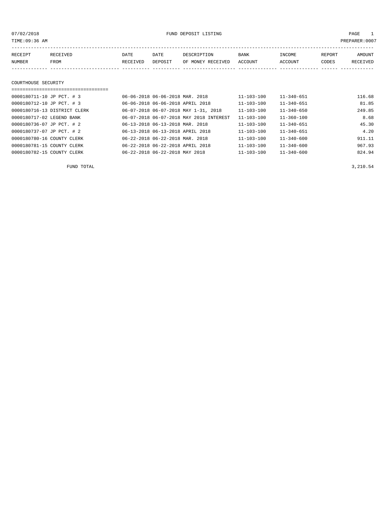07/02/2018 FUND DEPOSIT LISTING PAGE 1

| RECEIPT | <b>RECEIVED</b> | DATE     | DATE    | DESCRIPTION               | BANK | INCOME  | REPORT | AMOUNT   |
|---------|-----------------|----------|---------|---------------------------|------|---------|--------|----------|
| NUMBER  | <b>FROM</b>     | RECEIVED | DEPOSIT | OF MONEY RECEIVED ACCOUNT |      | ACCOUNT | CODES  | RECEIVED |
|         |                 |          |         |                           |      |         |        |          |

#### COURTHOUSE SECURITY

| ===================================== |                                         |                  |                  |        |
|---------------------------------------|-----------------------------------------|------------------|------------------|--------|
| 0000180711-10 JP PCT. # 3             | 06-06-2018 06-06-2018 MAR. 2018         | 11-103-100       | $11 - 340 - 651$ | 116.68 |
| 0000180712-10 JP PCT. # 3             | 06-06-2018 06-06-2018 APRIL 2018        | $11 - 103 - 100$ | $11 - 340 - 651$ | 81.85  |
| 0000180716-13 DISTRICT CLERK          | 06-07-2018 06-07-2018 MAY 1-31, 2018    | $11 - 103 - 100$ | $11 - 340 - 650$ | 249.85 |
| 0000180717-02 LEGEND BANK             | 06-07-2018 06-07-2018 MAY 2018 INTEREST | $11 - 103 - 100$ | $11 - 360 - 100$ | 8.68   |
| 0000180736-07 JP PCT. # 2             | 06-13-2018 06-13-2018 MAR. 2018         | $11 - 103 - 100$ | $11 - 340 - 651$ | 45.30  |
| 0000180737-07 JP PCT. # 2             | 06-13-2018 06-13-2018 APRIL 2018        | $11 - 103 - 100$ | $11 - 340 - 651$ | 4.20   |
| 0000180780-16 COUNTY CLERK            | 06-22-2018 06-22-2018 MAR. 2018         | $11 - 103 - 100$ | $11 - 340 - 600$ | 911.11 |
| 0000180781-15 COUNTY CLERK            | 06-22-2018 06-22-2018 APRIL 2018        | $11 - 103 - 100$ | $11 - 340 - 600$ | 967.93 |
| 0000180782-15 COUNTY CLERK            | 06-22-2018 06-22-2018 MAY 2018          | $11 - 103 - 100$ | $11 - 340 - 600$ | 824.94 |

FUND TOTAL  $3,210.54$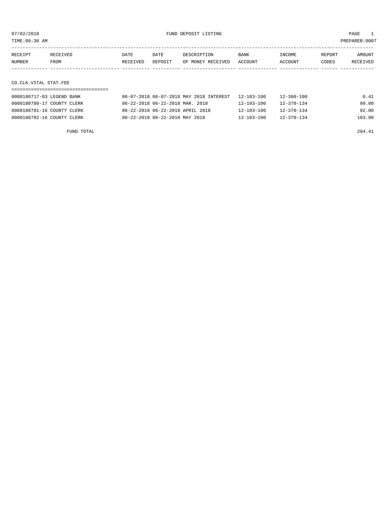TIME:09:36 AM PREPARER:0007

| RECEIPT | RECEIVED | DATE     | DATE    | DESCRIPTION       | <b>BANK</b>    | <b>NCOME</b>  | REPORT | NMOUNT          |
|---------|----------|----------|---------|-------------------|----------------|---------------|--------|-----------------|
| NUMBER  | FROM     | RECEIVED | DEPOSIT | OF MONEY RECEIVED | <b>ACCOUNT</b> | <b>CCOUNT</b> | CODES  | <b>RECEIVED</b> |
|         |          |          |         |                   |                |               |        |                 |

CO.CLK.VITAL STAT.FEE

| 0000180717-03 LEGEND BANK  | 06-07-2018 06-07-2018 MAY 2018 INTEREST | 12-103-100       | 12-360-100       | 0.41   |
|----------------------------|-----------------------------------------|------------------|------------------|--------|
| 0000180780-17 COUNTY CLERK | 06-22-2018 06-22-2018 MAR. 2018         | $12 - 103 - 100$ | 12-370-134       | 99.00  |
| 0000180781-16 COUNTY CLERK | 06-22-2018 06-22-2018 APRIL 2018        | $12 - 103 - 100$ | $12 - 370 - 134$ | 92.00  |
| 0000180782-16 COUNTY CLERK | 06-22-2018 06-22-2018 MAY 2018          | $12 - 103 - 100$ | $12 - 370 - 134$ | 103.00 |

FUND TOTAL 294.41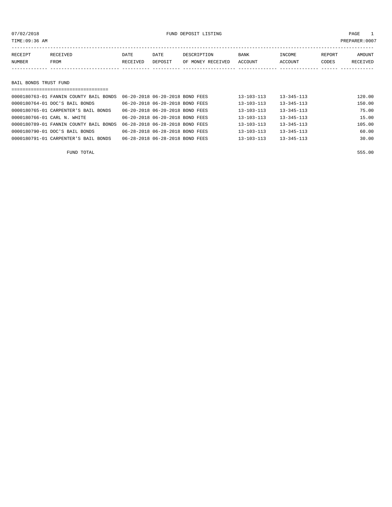# 07/02/2018 FUND DEPOSIT LISTING PAGE 1

|                   |                                           |          |             |                   |         |         | RECEIVED |
|-------------------|-------------------------------------------|----------|-------------|-------------------|---------|---------|----------|
|                   | DATE                                      | DATE     | DESCRIPTION | <b>BANK</b>       | INCOME  | REPORT  | AMOUNT   |
|                   |                                           |          |             |                   |         |         |          |
| RECEIPT<br>NUMBER | RECEIVED<br>FROM<br>BAIL BONDS TRUST FUND | RECEIVED | DEPOSIT     | OF MONEY RECEIVED | ACCOUNT | ACCOUNT | CODES    |

| 0000180763-01 FANNIN COUNTY BAIL BONDS | 06-20-2018 06-20-2018 BOND FEES | $13 - 103 - 113$ | $13 - 345 - 113$ | 120.00 |
|----------------------------------------|---------------------------------|------------------|------------------|--------|
| 0000180764-01 DOC'S BAIL BONDS         | 06-20-2018 06-20-2018 BOND FEES | $13 - 103 - 113$ | $13 - 345 - 113$ | 150.00 |
| 0000180765-01 CARPENTER'S BAIL BONDS   | 06-20-2018 06-20-2018 BOND FEES | 13-103-113       | $13 - 345 - 113$ | 75.00  |
| 0000180766-01 CARL N. WHITE            | 06-20-2018 06-20-2018 BOND FEES | $13 - 103 - 113$ | $13 - 345 - 113$ | 15.00  |
| 0000180789-01 FANNIN COUNTY BAIL BONDS | 06-28-2018 06-28-2018 BOND FEES | $13 - 103 - 113$ | $13 - 345 - 113$ | 105.00 |
| 0000180790-01 DOC'S BAIL BONDS         | 06-28-2018 06-28-2018 BOND FEES | $13 - 103 - 113$ | $13 - 345 - 113$ | 60.00  |
| 0000180791-01 CARPENTER'S BAIL BONDS   | 06-28-2018 06-28-2018 BOND FEES | $13 - 103 - 113$ | $13 - 345 - 113$ | 30.00  |
|                                        |                                 |                  |                  |        |

FUND TOTAL 555.00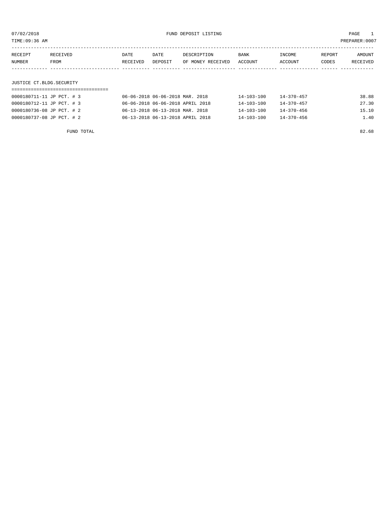TIME:09:36 AM PREPARER:0007

| RECEIPT | RECEIVED                 | DATE     | DATE    | DESCRIPTION       | BANK    | INCOME  | REPORT | AMOUNT   |  |
|---------|--------------------------|----------|---------|-------------------|---------|---------|--------|----------|--|
| NUMBER  | FROM                     | RECEIVED | DEPOSIT | OF MONEY RECEIVED | ACCOUNT | ACCOUNT | CODES  | RECEIVED |  |
|         |                          |          |         |                   |         |         |        |          |  |
|         |                          |          |         |                   |         |         |        |          |  |
|         | JUSTICE CT.BLDG.SECURITY |          |         |                   |         |         |        |          |  |

# ===================================

| 0000180711-11 JP PCT. # 3 | 06-06-2018 06-06-2018 MAR. 2018  | $14 - 103 - 100$ | $14 - 370 - 457$ | 38.88 |
|---------------------------|----------------------------------|------------------|------------------|-------|
| 0000180712-11 JP PCT. # 3 | 06-06-2018 06-06-2018 APRIL 2018 | 14-103-100       | $14 - 370 - 457$ | 27.30 |
| 0000180736-08 JP PCT. # 2 | 06-13-2018 06-13-2018 MAR. 2018  | 14-103-100       | $14 - 370 - 456$ | 15.10 |
| 0000180737-08 JP PCT. # 2 | 06-13-2018 06-13-2018 APRIL 2018 | $14 - 103 - 100$ | 14-370-456       | 1.40  |

FUND TOTAL 82.68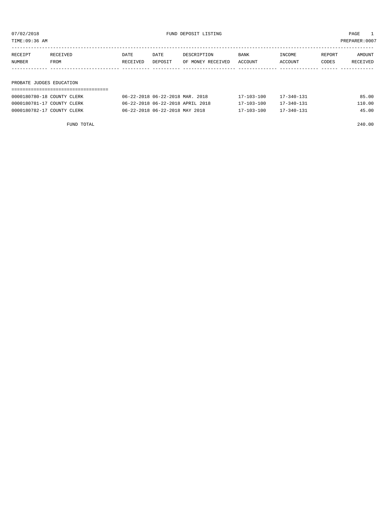TIME:09:36 AM PREPARER:0007

| RECEIPT                                                                          | RECEIVED    | DATE     | DATE    | DESCRIPTION       | <b>BANK</b> | INCOME  | REPORT | AMOUNT   |
|----------------------------------------------------------------------------------|-------------|----------|---------|-------------------|-------------|---------|--------|----------|
| NUMBER                                                                           | <b>FROM</b> | RECEIVED | DEPOSIT | OF MONEY RECEIVED | ACCOUNT     | ACCOUNT | CODES  | RECEIVED |
|                                                                                  |             |          |         |                   |             |         |        |          |
|                                                                                  |             |          |         |                   |             |         |        |          |
| ,但是,我们的人们都会有些不能。""你们的人们,你们的人们都会不能够。""你们的人们,你们的人们,你们的人们,你们的人们,你们的人们,你们的人们,你们的人们,你 |             |          |         |                   |             |         |        |          |

# PROBATE JUDGES EDUCATION

| 0000180780-18 COUNTY CLERK | 06-22-2018 06-22-2018 MAR. 2018  | 17-103-100 | $17 - 340 - 131$ | 85.00  |
|----------------------------|----------------------------------|------------|------------------|--------|
| 0000180781-17 COUNTY CLERK | 06-22-2018 06-22-2018 APRIL 2018 | 17-103-100 | $17 - 340 - 131$ | 110.00 |
|                            | 06-22-2018 06-22-2018 MAY 2018   | 17-103-100 | $17 - 340 - 131$ | 45.00  |
| 0000180782-17 COUNTY CLERK |                                  |            |                  |        |

FUND TOTAL 240.00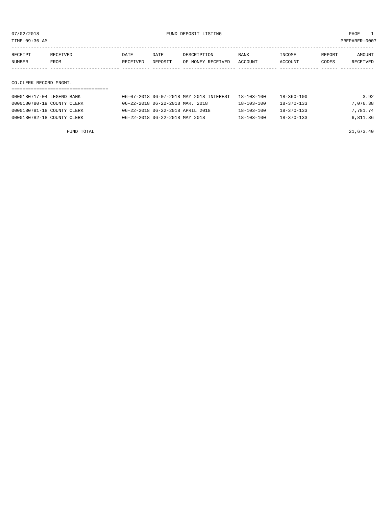TIME:09:36 AM PREPARER:0007

| RECEIPT | <b>RECEIVED</b> | DATE            | DATE           | DESCRIPTION       | <b>BANK</b>    | <b>NCOME</b> | REPORT | AMOUNT          |
|---------|-----------------|-----------------|----------------|-------------------|----------------|--------------|--------|-----------------|
| NUMBER  | FROM            | <b>RECEIVED</b> | <b>DEPOSTT</b> | OF MONEY RECEIVED | <b>ACCOUNT</b> | CCOUNT       | CODES  | <b>RECEIVED</b> |
|         |                 |                 |                |                   |                |              |        |                 |

CO.CLERK RECORD MNGMT.

| 0000180717-04 LEGEND BANK  | 06-07-2018 06-07-2018 MAY 2018 INTEREST | 18-103-100       | 18-360-100       | 3.92     |
|----------------------------|-----------------------------------------|------------------|------------------|----------|
| 0000180780-19 COUNTY CLERK | 06-22-2018 06-22-2018 MAR. 2018         | 18-103-100       | 18-370-133       | 7,076.38 |
| 0000180781-18 COUNTY CLERK | 06-22-2018 06-22-2018 APRIL 2018        | $18 - 103 - 100$ | 18-370-133       | 7,781.74 |
| 0000180782-18 COUNTY CLERK | 06-22-2018 06-22-2018 MAY 2018          | $18 - 103 - 100$ | $18 - 370 - 133$ | 6,811.36 |

FUND TOTAL 21,673.40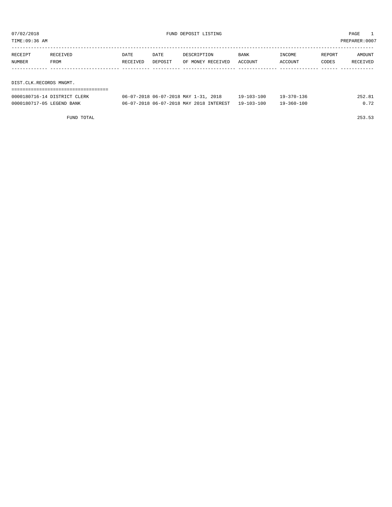TIME:09:36 AM PREPARER:0007

| RECEIPT | RECEIVED                | <b>DATE</b> | DATE    | DESCRIPTION       | <b>BANK</b> | INCOME  | REPORT | AMOUNT   |  |  |
|---------|-------------------------|-------------|---------|-------------------|-------------|---------|--------|----------|--|--|
| NUMBER  | FROM                    | RECEIVED    | DEPOSIT | OF MONEY RECEIVED | ACCOUNT     | ACCOUNT | CODES  | RECEIVED |  |  |
|         |                         |             |         |                   |             |         |        |          |  |  |
|         |                         |             |         |                   |             |         |        |          |  |  |
|         | DIST.CLK.RECORDS MNGMT. |             |         |                   |             |         |        |          |  |  |

| 0000180716-14 DISTRICT CLERK | 06-07-2018 06-07-2018 MAY 1-31, 2018    | $19 - 103 - 100$ | $19 - 370 - 136$ | 252.81 |
|------------------------------|-----------------------------------------|------------------|------------------|--------|
| 0000180717-05 LEGEND BANK    | 06-07-2018 06-07-2018 MAY 2018 INTEREST | 19-103-100       | $19 - 360 - 100$ | 0.72   |

FUND TOTAL 253.53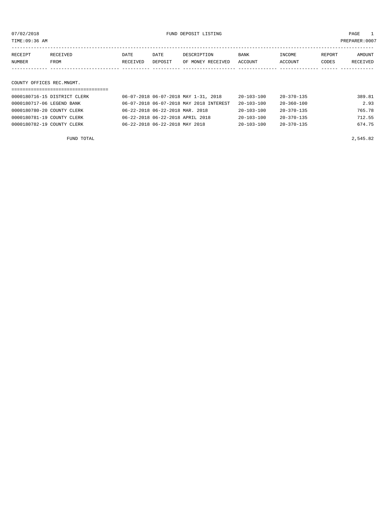07/02/2018 FUND DEPOSIT LISTING PAGE 1

| RECEIPT | RECEIVED | <b>DATE</b> | DATE    | DESCRIPTION               | BANK | INCOME  | REPORT | AMOUNT   |
|---------|----------|-------------|---------|---------------------------|------|---------|--------|----------|
| NUMBER  | FROM     | RECEIVED    | DEPOSIT | OF MONEY RECEIVED ACCOUNT |      | ACCOUNT | CODES  | RECEIVED |
|         |          |             |         |                           |      |         |        |          |
|         |          |             |         |                           |      |         |        |          |

# COUNTY OFFICES REC.MNGMT.

| 0000180716-15 DISTRICT CLERK | 06-07-2018 06-07-2018 MAY 1-31, 2018    | 20-103-100       | 20-370-135       | 389.81 |
|------------------------------|-----------------------------------------|------------------|------------------|--------|
| 0000180717-06 LEGEND BANK    | 06-07-2018 06-07-2018 MAY 2018 INTEREST | $20 - 103 - 100$ | $20 - 360 - 100$ | 2.93   |
| 0000180780-20 COUNTY CLERK   | 06-22-2018 06-22-2018 MAR. 2018         | $20 - 103 - 100$ | $20 - 370 - 135$ | 765.78 |
| 0000180781-19 COUNTY CLERK   | 06-22-2018 06-22-2018 APRIL 2018        | $20 - 103 - 100$ | $20 - 370 - 135$ | 712.55 |
| 0000180782-19 COUNTY CLERK   | 06-22-2018 06-22-2018 MAY 2018          | $20 - 103 - 100$ | $20 - 370 - 135$ | 674.75 |
|                              |                                         |                  |                  |        |

FUND TOTAL 2,545.82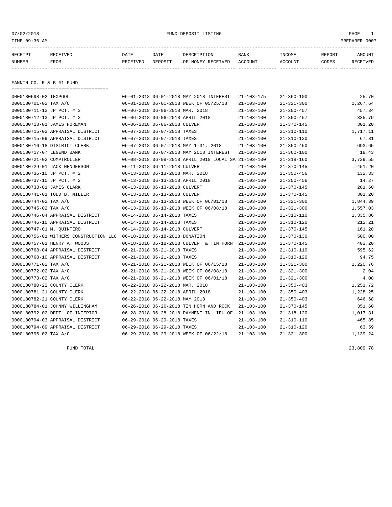# 07/02/2018 FUND DEPOSIT LISTING PAGE 1

| RECEIPT | <b>RECEIVED</b> | DATE     | DATE    | DESCRIPTION       | BANK    | <b>TNCOME</b> | REPORT | <b>AMOUNT</b>   |
|---------|-----------------|----------|---------|-------------------|---------|---------------|--------|-----------------|
| NUMBER  | FROM            | RECEIVED | DEPOSIT | OF MONEY RECEIVED | ACCOUNT | ACCOUNT       | CODES  | <b>RECEIVED</b> |
|         |                 |          |         |                   |         |               |        |                 |

FANNIN CO. R & B #1 FUND

===================================

| 0000180698-02 TEXPOOL                  |                                  | 06-01-2018 06-01-2018 MAY 2018 INTEREST              | $21 - 103 - 175$ | $21 - 360 - 100$ | 25.70    |
|----------------------------------------|----------------------------------|------------------------------------------------------|------------------|------------------|----------|
| 0000180701-02 TAX A/C                  |                                  | 06-01-2018 06-01-2018 WEEK OF 05/25/18               | $21 - 103 - 100$ | $21 - 321 - 300$ | 1,267.64 |
| 0000180711-13 JP PCT. # 3              | 06-06-2018 06-06-2018 MAR. 2018  |                                                      | $21 - 103 - 100$ | $21 - 350 - 457$ | 457.34   |
| 0000180712-13 JP PCT. # 3              | 06-06-2018 06-06-2018 APRIL 2018 |                                                      | $21 - 103 - 100$ | $21 - 350 - 457$ | 335.79   |
| 0000180713-01 JAMES FOREMAN            | 06-06-2018 06-06-2018 CULVERT    |                                                      | $21 - 103 - 100$ | $21 - 370 - 145$ | 301.20   |
| 0000180715-03 APPRAISAL DISTRICT       | 06-07-2018 06-07-2018 TAXES      |                                                      | $21 - 103 - 100$ | $21 - 310 - 110$ | 1,717.11 |
| 0000180715-09 APPRAISAL DISTRICT       | 06-07-2018 06-07-2018 TAXES      |                                                      | $21 - 103 - 100$ | $21 - 310 - 120$ | 67.31    |
| 0000180716-18 DISTRICT CLERK           |                                  | 06-07-2018 06-07-2018 MAY 1-31, 2018                 | $21 - 103 - 100$ | $21 - 350 - 450$ | 693.65   |
| 0000180717-07 LEGEND BANK              |                                  | 06-07-2018 06-07-2018 MAY 2018 INTEREST              | $21 - 103 - 100$ | $21 - 360 - 100$ | 18.43    |
| 0000180721-02 COMPTROLLER              |                                  | 06-08-2018 06-08-2018 APRIL 2018 LOCAL SA 21-103-100 |                  | $21 - 318 - 160$ | 3,729.55 |
| 0000180729-01 JACK HENDERSON           | 06-11-2018 06-11-2018 CULVERT    |                                                      | $21 - 103 - 100$ | $21 - 370 - 145$ | 451.20   |
| 0000180736-10 JP PCT. # 2              | 06-13-2018 06-13-2018 MAR. 2018  |                                                      | $21 - 103 - 100$ | $21 - 350 - 456$ | 132.33   |
| 0000180737-10 JP PCT. # 2              | 06-13-2018 06-13-2018 APRIL 2018 |                                                      | $21 - 103 - 100$ | $21 - 350 - 456$ | 14.27    |
| 0000180738-01 JAMES CLARK              | 06-13-2018 06-13-2018 CULVERT    |                                                      | $21 - 103 - 100$ | $21 - 370 - 145$ | 201.60   |
| 0000180741-01 TODD B. MILLER           | 06-13-2018 06-13-2018 CULVERT    |                                                      | $21 - 103 - 100$ | $21 - 370 - 145$ | 301.20   |
| 0000180744-02 TAX A/C                  |                                  | 06-13-2018 06-13-2018 WEEK OF 06/01/18               | 21-103-100       | $21 - 321 - 300$ | 1,844.39 |
| 0000180745-02 TAX A/C                  |                                  | 06-13-2018 06-13-2018 WEEK OF 06/08/18               | 21-103-100       | $21 - 321 - 300$ | 1,557.03 |
| 0000180746-04 APPRAISAL DISTRICT       | 06-14-2018 06-14-2018 TAXES      |                                                      | $21 - 103 - 100$ | $21 - 310 - 110$ | 1,335.86 |
| 0000180746-10 APPRAISAL DISTRICT       | 06-14-2018 06-14-2018 TAXES      |                                                      | $21 - 103 - 100$ | $21 - 310 - 120$ | 212.21   |
| 0000180747-01 M. OUINTERO              | 06-14-2018 06-14-2018 CULVERT    |                                                      | $21 - 103 - 100$ | $21 - 370 - 145$ | 161.28   |
| 0000180756-01 WITHERS CONSTRUCTION LLC | 06-18-2018 06-18-2018 DONATION   |                                                      | $21 - 103 - 100$ | $21 - 370 - 130$ | 500.00   |
| 0000180757-01 HENRY A. WOODS           |                                  | 06-18-2018 06-18-2018 CULVERT & TIN HORN 21-103-100  |                  | $21 - 370 - 145$ | 403.20   |
| 0000180768-04 APPRAISAL DISTRICT       | 06-21-2018 06-21-2018 TAXES      |                                                      | $21 - 103 - 100$ | $21 - 310 - 110$ | 595.62   |
| 0000180768-10 APPRAISAL DISTRICT       | 06-21-2018 06-21-2018 TAXES      |                                                      | $21 - 103 - 100$ | $21 - 310 - 120$ | 94.75    |
| 0000180771-02 TAX A/C                  |                                  | 06-21-2018 06-21-2018 WEEK OF 06/15/18               | $21 - 103 - 100$ | $21 - 321 - 300$ | 1,220.76 |
| 0000180772-02 TAX A/C                  |                                  | 06-21-2018 06-21-2018 WEEK OF 06/08/18               | $21 - 103 - 100$ | $21 - 321 - 300$ | 2.04     |
| 0000180773-02 TAX A/C                  |                                  | 06-21-2018 06-21-2018 WEEK OF 06/01/18               | $21 - 103 - 100$ | $21 - 321 - 300$ | 4.08     |
| 0000180780-22 COUNTY CLERK             | 06-22-2018 06-22-2018 MAR. 2018  |                                                      | $21 - 103 - 100$ | $21 - 350 - 403$ | 1,251.72 |
| 0000180781-21 COUNTY CLERK             | 06-22-2018 06-22-2018 APRIL 2018 |                                                      | $21 - 103 - 100$ | $21 - 350 - 403$ | 1,228.25 |
| 0000180782-21 COUNTY CLERK             | 06-22-2018 06-22-2018 MAY 2018   |                                                      | $21 - 103 - 100$ | $21 - 350 - 403$ | 646.68   |
| 0000180784-01 JOHNNY WILLINGHAM        |                                  | 06-26-2018 06-26-2018 TIN HORN AND ROCK              | $21 - 103 - 100$ | $21 - 370 - 145$ | 351.60   |
| 0000180792-02 DEPT. OF INTERIOR        |                                  | 06-28-2018 06-28-2018 PAYMENT IN LIEU OF             | $21 - 103 - 100$ | $21 - 318 - 120$ | 1,017.31 |
| 0000180794-03 APPRAISAL DISTRICT       | 06-29-2018 06-29-2018 TAXES      |                                                      | $21 - 103 - 100$ | $21 - 310 - 110$ | 465.85   |
| 0000180794-09 APPRAISAL DISTRICT       | 06-29-2018 06-29-2018 TAXES      |                                                      | $21 - 103 - 100$ | $21 - 310 - 120$ | 63.59    |
| 0000180796-02 TAX A/C                  |                                  | 06-29-2018 06-29-2018 WEEK OF 06/22/18               | $21 - 103 - 100$ | $21 - 321 - 300$ | 1,139.24 |

FUND TOTAL 23,809.78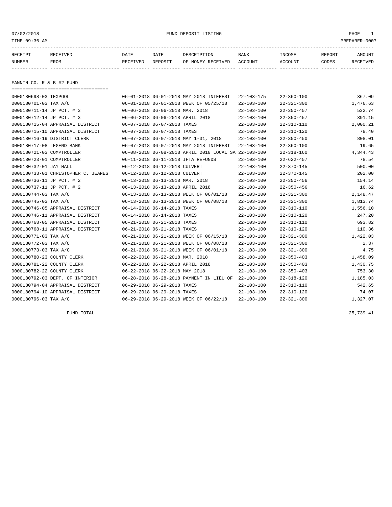07/02/2018 FUND DEPOSIT LISTING PAGE 1

| RECEIPT | <b>RECEIVED</b> | DATE            | DATE    | DESCRIPTION       | <b>BANK</b> | INCOME  | REPORT | AMOUNT          |
|---------|-----------------|-----------------|---------|-------------------|-------------|---------|--------|-----------------|
| NUMBER  | FROM            | <b>RECEIVED</b> | DEPOSIT | OF MONEY RECEIVED | ACCOUNT     | ACCOUNT | CODES  | <b>RECEIVED</b> |
|         |                 |                 |         |                   |             |         |        |                 |

FANNIN CO. R & B #2 FUND

| ====================================== |                                                      |                  |                  |          |
|----------------------------------------|------------------------------------------------------|------------------|------------------|----------|
| 0000180698-03 TEXPOOL                  | 06-01-2018 06-01-2018 MAY 2018 INTEREST              | 22-103-175       | $22 - 360 - 100$ | 367.09   |
| 0000180701-03 TAX A/C                  | 06-01-2018 06-01-2018 WEEK OF 05/25/18               | $22 - 103 - 100$ | $22 - 321 - 300$ | 1,476.63 |
| 0000180711-14 JP PCT. # 3              | 06-06-2018 06-06-2018 MAR. 2018                      | $22 - 103 - 100$ | $22 - 350 - 457$ | 532.74   |
| 0000180712-14 JP PCT. # 3              | 06-06-2018 06-06-2018 APRIL 2018                     | $22 - 103 - 100$ | $22 - 350 - 457$ | 391.15   |
| 0000180715-04 APPRAISAL DISTRICT       | 06-07-2018 06-07-2018 TAXES                          | $22 - 103 - 100$ | $22 - 310 - 110$ | 2,000.21 |
| 0000180715-10 APPRAISAL DISTRICT       | 06-07-2018 06-07-2018 TAXES                          | $22 - 103 - 100$ | $22 - 310 - 120$ | 78.40    |
| 0000180716-19 DISTRICT CLERK           | 06-07-2018 06-07-2018 MAY 1-31, 2018                 | $22 - 103 - 100$ | $22 - 350 - 450$ | 808.01   |
| 0000180717-08 LEGEND BANK              | 06-07-2018 06-07-2018 MAY 2018 INTEREST              | $22 - 103 - 100$ | $22 - 360 - 100$ | 19.65    |
| 0000180721-03 COMPTROLLER              | 06-08-2018 06-08-2018 APRIL 2018 LOCAL SA 22-103-100 |                  | $22 - 318 - 160$ | 4,344.43 |
| 0000180723-01 COMPTROLLER              | 06-11-2018 06-11-2018 IFTA REFUNDS                   | $22 - 103 - 100$ | $22 - 622 - 457$ | 78.54    |
| 0000180732-01 JAY HALL                 | 06-12-2018 06-12-2018 CULVERT                        | $22 - 103 - 100$ | $22 - 370 - 145$ | 500.00   |
| 0000180733-01 CHRISTOPHER C. JEANES    | 06-12-2018 06-12-2018 CULVERT                        | $22 - 103 - 100$ | $22 - 370 - 145$ | 202.00   |
| 0000180736-11 JP PCT. # 2              | 06-13-2018 06-13-2018 MAR. 2018                      | $22 - 103 - 100$ | $22 - 350 - 456$ | 154.14   |
| 0000180737-11 JP PCT. # 2              | 06-13-2018 06-13-2018 APRIL 2018                     | $22 - 103 - 100$ | $22 - 350 - 456$ | 16.62    |
| 0000180744-03 TAX A/C                  | 06-13-2018 06-13-2018 WEEK OF 06/01/18               | $22 - 103 - 100$ | $22 - 321 - 300$ | 2,148.47 |
| 0000180745-03 TAX A/C                  | 06-13-2018 06-13-2018 WEEK OF 06/08/18               | $22 - 103 - 100$ | $22 - 321 - 300$ | 1,813.74 |
| 0000180746-05 APPRAISAL DISTRICT       | 06-14-2018 06-14-2018 TAXES                          | $22 - 103 - 100$ | $22 - 310 - 110$ | 1,556.10 |
| 0000180746-11 APPRAISAL DISTRICT       | 06-14-2018 06-14-2018 TAXES                          | $22 - 103 - 100$ | $22 - 310 - 120$ | 247.20   |
| 0000180768-05 APPRAISAL DISTRICT       | 06-21-2018 06-21-2018 TAXES                          | $22 - 103 - 100$ | $22 - 310 - 110$ | 693.82   |
| 0000180768-11 APPRAISAL DISTRICT       | 06-21-2018 06-21-2018 TAXES                          | $22 - 103 - 100$ | $22 - 310 - 120$ | 110.36   |
| 0000180771-03 TAX A/C                  | 06-21-2018 06-21-2018 WEEK OF 06/15/18               | $22 - 103 - 100$ | $22 - 321 - 300$ | 1,422.03 |
| 0000180772-03 TAX A/C                  | 06-21-2018 06-21-2018 WEEK OF 06/08/18               | $22 - 103 - 100$ | $22 - 321 - 300$ | 2.37     |
| 0000180773-03 TAX A/C                  | 06-21-2018 06-21-2018 WEEK OF 06/01/18               | $22 - 103 - 100$ | $22 - 321 - 300$ | 4.75     |
| 0000180780-23 COUNTY CLERK             | 06-22-2018 06-22-2018 MAR. 2018                      | $22 - 103 - 100$ | $22 - 350 - 403$ | 1,458.09 |
| 0000180781-22 COUNTY CLERK             | 06-22-2018 06-22-2018 APRIL 2018                     | $22 - 103 - 100$ | $22 - 350 - 403$ | 1,430.75 |
| 0000180782-22 COUNTY CLERK             | 06-22-2018 06-22-2018 MAY 2018                       | $22 - 103 - 100$ | $22 - 350 - 403$ | 753.30   |
| 0000180792-03 DEPT. OF INTERIOR        | 06-28-2018 06-28-2018 PAYMENT IN LIEU OF 22-103-100  |                  | 22-318-120       | 1,185.03 |
| 0000180794-04 APPRAISAL DISTRICT       | 06-29-2018 06-29-2018 TAXES                          | $22 - 103 - 100$ | $22 - 310 - 110$ | 542.65   |
| 0000180794-10 APPRAISAL DISTRICT       | 06-29-2018 06-29-2018 TAXES                          | $22 - 103 - 100$ | $22 - 310 - 120$ | 74.07    |
| 0000180796-03 TAX A/C                  | 06-29-2018 06-29-2018 WEEK OF 06/22/18               | $22 - 103 - 100$ | $22 - 321 - 300$ | 1,327.07 |

FUND TOTAL 25,739.41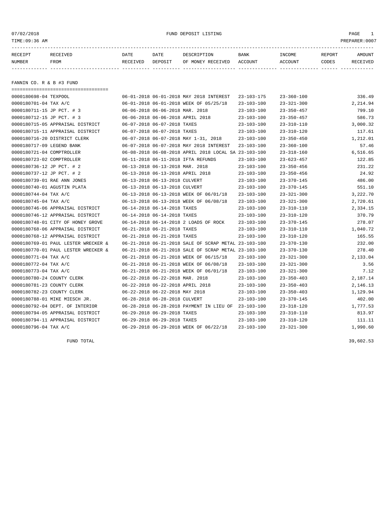07/02/2018 FUND DEPOSIT LISTING PAGE 1

| RECEIPT | RECEIVED | DATE            | DATE    | DESCRIPTION       | <b>BANK</b> | <b>INCOME</b> | REPORT | AMOUNT          |
|---------|----------|-----------------|---------|-------------------|-------------|---------------|--------|-----------------|
| NUMBER  | FROM     | <b>RECEIVED</b> | DEPOSIT | OF MONEY RECEIVED | ACCOUNT     | ACCOUNT       | CODES  | <b>RECEIVED</b> |
|         |          |                 |         |                   |             |               |        |                 |

FANNIN CO. R & B #3 FUND

| ===================================== |                                                      |                  |                  |          |
|---------------------------------------|------------------------------------------------------|------------------|------------------|----------|
| 0000180698-04 TEXPOOL                 | 06-01-2018 06-01-2018 MAY 2018 INTEREST              | 23-103-175       | $23 - 360 - 100$ | 336.49   |
| 0000180701-04 TAX A/C                 | 06-01-2018 06-01-2018 WEEK OF 05/25/18               | $23 - 103 - 100$ | $23 - 321 - 300$ | 2,214.94 |
| 0000180711-15 JP PCT. # 3             | 06-06-2018 06-06-2018 MAR. 2018                      | $23 - 103 - 100$ | $23 - 350 - 457$ | 799.10   |
| 0000180712-15 JP PCT. # 3             | 06-06-2018 06-06-2018 APRIL 2018                     | $23 - 103 - 100$ | $23 - 350 - 457$ | 586.73   |
| 0000180715-05 APPRAISAL DISTRICT      | 06-07-2018 06-07-2018 TAXES                          | $23 - 103 - 100$ | $23 - 310 - 110$ | 3,000.32 |
| 0000180715-11 APPRAISAL DISTRICT      | 06-07-2018 06-07-2018 TAXES                          | $23 - 103 - 100$ | $23 - 310 - 120$ | 117.61   |
| 0000180716-20 DISTRICT CLERK          | 06-07-2018 06-07-2018 MAY 1-31, 2018                 | $23 - 103 - 100$ | $23 - 350 - 450$ | 1,212.01 |
| 0000180717-09 LEGEND BANK             | 06-07-2018 06-07-2018 MAY 2018 INTEREST              | $23 - 103 - 100$ | $23 - 360 - 100$ | 57.46    |
| 0000180721-04 COMPTROLLER             | 06-08-2018 06-08-2018 APRIL 2018 LOCAL SA 23-103-100 |                  | $23 - 318 - 160$ | 6,516.65 |
| 0000180723-02 COMPTROLLER             | 06-11-2018 06-11-2018 IFTA REFUNDS                   | $23 - 103 - 100$ | $23 - 623 - 457$ | 122.85   |
| 0000180736-12 JP PCT. # 2             | 06-13-2018 06-13-2018 MAR. 2018                      | $23 - 103 - 100$ | $23 - 350 - 456$ | 231.22   |
| 0000180737-12 JP PCT. # 2             | 06-13-2018 06-13-2018 APRIL 2018                     | $23 - 103 - 100$ | $23 - 350 - 456$ | 24.92    |
| 0000180739-01 RAE ANN JONES           | 06-13-2018 06-13-2018 CULVERT                        | 23-103-100       | 23-370-145       | 486.00   |
| 0000180740-01 AGUSTIN PLATA           | 06-13-2018 06-13-2018 CULVERT                        | $23 - 103 - 100$ | $23 - 370 - 145$ | 551.10   |
| 0000180744-04 TAX A/C                 | 06-13-2018 06-13-2018 WEEK OF 06/01/18               | $23 - 103 - 100$ | $23 - 321 - 300$ | 3,222.70 |
| 0000180745-04 TAX A/C                 | 06-13-2018 06-13-2018 WEEK OF 06/08/18               | $23 - 103 - 100$ | $23 - 321 - 300$ | 2,720.61 |
| 0000180746-06 APPRAISAL DISTRICT      | 06-14-2018 06-14-2018 TAXES                          | $23 - 103 - 100$ | $23 - 310 - 110$ | 2,334.15 |
| 0000180746-12 APPRAISAL DISTRICT      | 06-14-2018 06-14-2018 TAXES                          | $23 - 103 - 100$ | $23 - 310 - 120$ | 370.79   |
| 0000180748-01 CITY OF HONEY GROVE     | 06-14-2018 06-14-2018 2 LOADS OF ROCK                | $23 - 103 - 100$ | $23 - 370 - 145$ | 278.07   |
| 0000180768-06 APPRAISAL DISTRICT      | 06-21-2018 06-21-2018 TAXES                          | $23 - 103 - 100$ | $23 - 310 - 110$ | 1,040.72 |
| 0000180768-12 APPRAISAL DISTRICT      | 06-21-2018 06-21-2018 TAXES                          | $23 - 103 - 100$ | $23 - 310 - 120$ | 165.55   |
| 0000180769-01 PAUL LESTER WRECKER &   | 06-21-2018 06-21-2018 SALE OF SCRAP METAL 23-103-100 |                  | $23 - 370 - 130$ | 232.00   |
| 0000180770-01 PAUL LESTER WRECKER &   | 06-21-2018 06-21-2018 SALE OF SCRAP METAL 23-103-100 |                  | $23 - 370 - 130$ | 278.40   |
| 0000180771-04 TAX A/C                 | 06-21-2018 06-21-2018 WEEK OF 06/15/18               | $23 - 103 - 100$ | $23 - 321 - 300$ | 2,133.04 |
| 0000180772-04 TAX A/C                 | 06-21-2018 06-21-2018 WEEK OF 06/08/18               | $23 - 103 - 100$ | $23 - 321 - 300$ | 3.56     |
| 0000180773-04 TAX A/C                 | 06-21-2018 06-21-2018 WEEK OF 06/01/18               | $23 - 103 - 100$ | $23 - 321 - 300$ | 7.12     |
| 0000180780-24 COUNTY CLERK            | 06-22-2018 06-22-2018 MAR. 2018                      | $23 - 103 - 100$ | $23 - 350 - 403$ | 2,187.14 |
| 0000180781-23 COUNTY CLERK            | 06-22-2018 06-22-2018 APRIL 2018                     | 23-103-100       | $23 - 350 - 403$ | 2,146.13 |
| 0000180782-23 COUNTY CLERK            | 06-22-2018 06-22-2018 MAY 2018                       | $23 - 103 - 100$ | $23 - 350 - 403$ | 1,129.94 |
| 0000180788-01 MIKE MIESCH JR.         | 06-28-2018 06-28-2018 CULVERT                        | $23 - 103 - 100$ | $23 - 370 - 145$ | 402.00   |
| 0000180792-04 DEPT. OF INTERIOR       | 06-28-2018 06-28-2018 PAYMENT IN LIEU OF 23-103-100  |                  | $23 - 318 - 120$ | 1,777.53 |
| 0000180794-05 APPRAISAL DISTRICT      | 06-29-2018 06-29-2018 TAXES                          | $23 - 103 - 100$ | $23 - 310 - 110$ | 813.97   |
| 0000180794-11 APPRAISAL DISTRICT      | 06-29-2018 06-29-2018 TAXES                          | $23 - 103 - 100$ | $23 - 310 - 120$ | 111.11   |
| 0000180796-04 TAX A/C                 | 06-29-2018 06-29-2018 WEEK OF 06/22/18               | $23 - 103 - 100$ | $23 - 321 - 300$ | 1,990.60 |

FUND TOTAL  $39,602.53$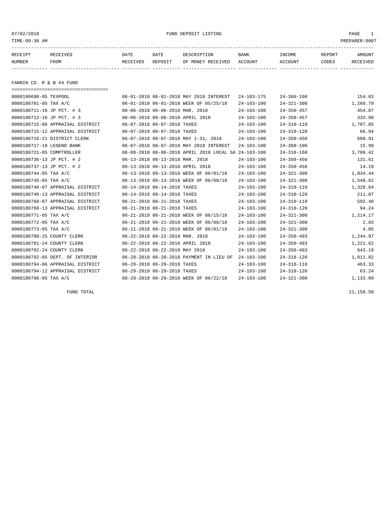07/02/2018 FUND DEPOSIT LISTING PAGE 1

| RECEIPT | <b>RECEIVED</b> | DATE     | DATE    | DESCRIPTION          | <b>BANK</b>    | INCOME  | <b>REPORT</b> | AMOUNT          |
|---------|-----------------|----------|---------|----------------------|----------------|---------|---------------|-----------------|
| NUMBER  | FROM            | RECEIVED | DEPOSIT | RECEIVED<br>OF MONEY | <b>ACCOUNT</b> | ACCOUNT | CODES         | <b>RECEIVED</b> |
|         |                 |          |         |                      |                |         |               |                 |

FANNIN CO. R & B #4 FUND

| ===================================== |                                  |                             |                                                      |                  |                  |          |
|---------------------------------------|----------------------------------|-----------------------------|------------------------------------------------------|------------------|------------------|----------|
| 0000180698-05 TEXPOOL                 |                                  |                             | 06-01-2018 06-01-2018 MAY 2018 INTEREST              | $24 - 103 - 175$ | $24 - 360 - 100$ | 154.03   |
| 0000180701-05 TAX A/C                 |                                  |                             | 06-01-2018 06-01-2018 WEEK OF 05/25/18               | $24 - 103 - 100$ | $24 - 321 - 300$ | 1,260.79 |
| 0000180711-16 JP PCT. # 3             | 06-06-2018 06-06-2018 MAR. 2018  |                             |                                                      | $24 - 103 - 100$ | $24 - 350 - 457$ | 454.87   |
| 0000180712-16 JP PCT. # 3             |                                  |                             | 06-06-2018 06-06-2018 APRIL 2018                     | $24 - 103 - 100$ | $24 - 350 - 457$ | 333.98   |
| 0000180715-06 APPRAISAL DISTRICT      | 06-07-2018 06-07-2018 TAXES      |                             |                                                      | $24 - 103 - 100$ | $24 - 310 - 110$ | 1,707.85 |
| 0000180715-12 APPRAISAL DISTRICT      | 06-07-2018 06-07-2018 TAXES      |                             |                                                      | $24 - 103 - 100$ | $24 - 310 - 120$ | 66.94    |
| 0000180716-21 DISTRICT CLERK          |                                  |                             | 06-07-2018 06-07-2018 MAY 1-31, 2018                 | $24 - 103 - 100$ | $24 - 350 - 450$ | 689.91   |
| 0000180717-10 LEGEND BANK             |                                  |                             | 06-07-2018 06-07-2018 MAY 2018 INTEREST              | $24 - 103 - 100$ | $24 - 360 - 100$ | 15.99    |
| 0000180721-05 COMPTROLLER             |                                  |                             | 06-08-2018 06-08-2018 APRIL 2018 LOCAL SA 24-103-100 |                  | $24 - 318 - 160$ | 3,709.42 |
| 0000180736-13 JP PCT. # 2             | 06-13-2018 06-13-2018 MAR. 2018  |                             |                                                      | $24 - 103 - 100$ | $24 - 350 - 456$ | 131.61   |
| 0000180737-13 JP PCT. # 2             | 06-13-2018 06-13-2018 APRIL 2018 |                             |                                                      | $24 - 103 - 100$ | $24 - 350 - 456$ | 14.19    |
| 0000180744-05 TAX A/C                 |                                  |                             | 06-13-2018 06-13-2018 WEEK OF 06/01/18               | $24 - 103 - 100$ | $24 - 321 - 300$ | 1,834.44 |
| 0000180745-05 TAX A/C                 |                                  |                             | 06-13-2018 06-13-2018 WEEK OF 06/08/18               | $24 - 103 - 100$ | $24 - 321 - 300$ | 1,548.62 |
| 0000180746-07 APPRAISAL DISTRICT      | 06-14-2018 06-14-2018 TAXES      |                             |                                                      | $24 - 103 - 100$ | $24 - 310 - 110$ | 1,328.64 |
| 0000180746-13 APPRAISAL DISTRICT      | 06-14-2018 06-14-2018 TAXES      |                             |                                                      | $24 - 103 - 100$ | $24 - 310 - 120$ | 211.07   |
| 0000180768-07 APPRAISAL DISTRICT      |                                  | 06-21-2018 06-21-2018 TAXES |                                                      | $24 - 103 - 100$ | $24 - 310 - 110$ | 592.40   |
| 0000180768-13 APPRAISAL DISTRICT      | 06-21-2018 06-21-2018 TAXES      |                             |                                                      | $24 - 103 - 100$ | $24 - 310 - 120$ | 94.24    |
| 0000180771-05 TAX A/C                 |                                  |                             | 06-21-2018 06-21-2018 WEEK OF 06/15/18               | $24 - 103 - 100$ | $24 - 321 - 300$ | 1,214.17 |
| 0000180772-05 TAX A/C                 |                                  |                             | 06-21-2018 06-21-2018 WEEK OF 06/08/18               | $24 - 103 - 100$ | $24 - 321 - 300$ | 2.03     |
| 0000180773-05 TAX A/C                 |                                  |                             | 06-21-2018 06-21-2018 WEEK OF 06/01/18               | $24 - 103 - 100$ | $24 - 321 - 300$ | 4.05     |
| 0000180780-25 COUNTY CLERK            | 06-22-2018 06-22-2018 MAR. 2018  |                             |                                                      | $24 - 103 - 100$ | $24 - 350 - 403$ | 1,244.97 |
| 0000180781-24 COUNTY CLERK            | 06-22-2018 06-22-2018 APRIL 2018 |                             |                                                      | $24 - 103 - 100$ | $24 - 350 - 403$ | 1,221.62 |
| 0000180782-24 COUNTY CLERK            | 06-22-2018 06-22-2018 MAY 2018   |                             |                                                      | $24 - 103 - 100$ | $24 - 350 - 403$ | 643.19   |
| 0000180792-05 DEPT. OF INTERIOR       |                                  |                             | 06-28-2018 06-28-2018 PAYMENT IN LIEU OF             | $24 - 103 - 100$ | $24 - 318 - 120$ | 1,011.82 |
| 0000180794-06 APPRAISAL DISTRICT      | 06-29-2018 06-29-2018 TAXES      |                             |                                                      | $24 - 103 - 100$ | $24 - 310 - 110$ | 463.33   |
| 0000180794-12 APPRAISAL DISTRICT      | 06-29-2018 06-29-2018 TAXES      |                             |                                                      | $24 - 103 - 100$ | $24 - 310 - 120$ | 63.24    |
| 0000180796-05 TAX A/C                 |                                  |                             | 06-29-2018 06-29-2018 WEEK OF 06/22/18               | $24 - 103 - 100$ | $24 - 321 - 300$ | 1,133.09 |

FUND TOTAL 21,150.50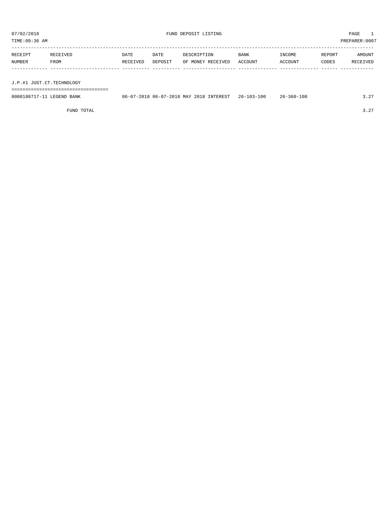TIME:09:36 AM PREPARER:0007

| RECEIPT | RECEIVED | DATE     | DATE    | DESCRIPTION       | <b>BANK</b> | INCOME  | REPORT | AMOUNT   |
|---------|----------|----------|---------|-------------------|-------------|---------|--------|----------|
| NUMBER  | FROM     | RECEIVED | DEPOSIT | OF MONEY RECEIVED | ACCOUNT     | ACCOUNT | CODES  | RECEIVED |
|         |          |          |         |                   |             |         |        |          |
|         |          |          |         |                   |             |         |        |          |

J.P.#1 JUST.CT.TECHNOLOGY

===================================

| 0000180717-11 LEGEND BANK | 06-07-2018 06-07-2018 MAY 2018 INTEREST 26-103-100 | $26 - 360 - 100$ | 3.27 |
|---------------------------|----------------------------------------------------|------------------|------|
|                           |                                                    |                  |      |

FUND TOTAL 3.27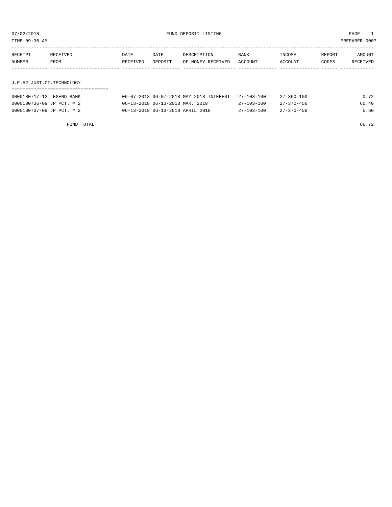TIME:09:36 AM PREPARER:0007

| RECEIPT | RECEIVED    | DATE     | DATE    | DESCRIPTION               | <b>BANK</b> | INCOME  | REPORT | AMOUNT   |
|---------|-------------|----------|---------|---------------------------|-------------|---------|--------|----------|
| NUMBER  | <b>FROM</b> | RECEIVED | DEPOSIT | OF MONEY RECEIVED ACCOUNT |             | ACCOUNT | CODES  | RECEIVED |
|         |             |          |         |                           |             |         |        |          |
|         |             |          |         |                           |             |         |        |          |

# J.P.#2 JUST.CT.TECHNOLOGY

| 0000180717-12 LEGEND BANK | 06-07-2018 06-07-2018 MAY 2018 INTEREST | $27 - 103 - 100$ | 27-360-100       | 0.72  |
|---------------------------|-----------------------------------------|------------------|------------------|-------|
| 0000180736-09 JP PCT. # 2 | 06-13-2018 06-13-2018 MAR. 2018         | 27-103-100       | 27-370-456       | 60.40 |
| 0000180737-09 JP PCT. # 2 | 06-13-2018 06-13-2018 APRIL 2018        | 27-103-100       | $27 - 370 - 456$ | 5.60  |

FUND TOTAL 66.72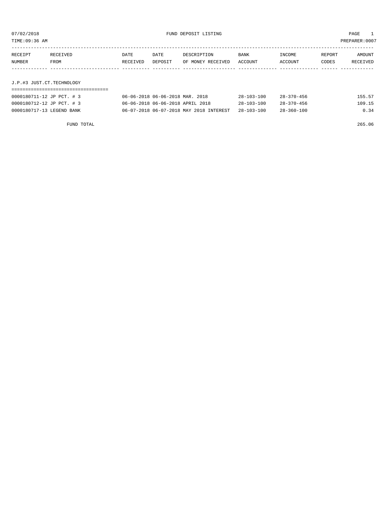TIME:09:36 AM PREPARER:0007

| RECEIPT | <b>RECEIVED</b> | DATE     | DATE    | DESCRIPTION       | <b>BANK</b> | INCOME  | REPORT | AMOUNT   |
|---------|-----------------|----------|---------|-------------------|-------------|---------|--------|----------|
| NUMBER  | FROM            | RECEIVED | DEPOSIT | OF MONEY RECEIVED | ACCOUNT     | ACCOUNT | CODES  | RECEIVED |
|         |                 |          |         |                   |             |         |        |          |

J.P.#3 JUST.CT.TECHNOLOGY

| 0000180711-12 JP PCT. # 3 | 06-06-2018 06-06-2018 MAR. 2018         | $28 - 103 - 100$ | $28 - 370 - 456$ | 155.57 |
|---------------------------|-----------------------------------------|------------------|------------------|--------|
| 0000180712-12 JP PCT. # 3 | 06-06-2018 06-06-2018 APRIL 2018        | $28 - 103 - 100$ | $28 - 370 - 456$ | 109.15 |
| 0000180717-13 LEGEND BANK | 06-07-2018 06-07-2018 MAY 2018 INTEREST | $28 - 103 - 100$ | $28 - 360 - 100$ | 0.34   |

FUND TOTAL 265.06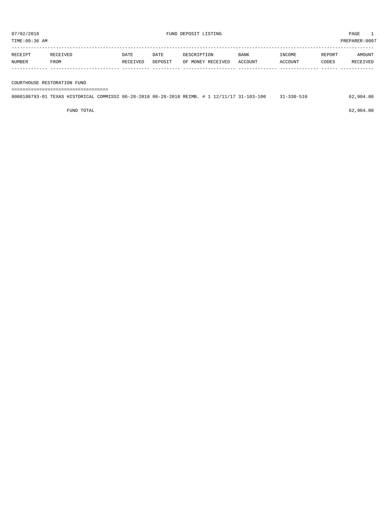| RECEIPT | <b>RECEIVED</b> | DATE     | DATE    | DESCRIPTION       | <b>BANK</b>    | <b>TNCOME</b> | <b>REPORT</b> | <b>AMOUNT</b>   |
|---------|-----------------|----------|---------|-------------------|----------------|---------------|---------------|-----------------|
| NUMBER  | FROM            | RECEIVED | DEPOSIT | OF MONEY RECEIVED | <b>ACCOUNT</b> | ACCOUNT       | CODES         | <b>RECEIVED</b> |
|         |                 |          |         |                   |                |               |               |                 |

COURTHOUSE RESTORATION FUND

===================================

| 0000180793-01 TEXAS HISTORICAL COMMISSI 06-28-2018 06-28-2018 REIMB. # 1 12/11/17 31-103-100 |  |  |  |  | 31-330-510 | 62,904.00 |
|----------------------------------------------------------------------------------------------|--|--|--|--|------------|-----------|
|                                                                                              |  |  |  |  |            |           |

 $FUND$  TOTAL 62,904.00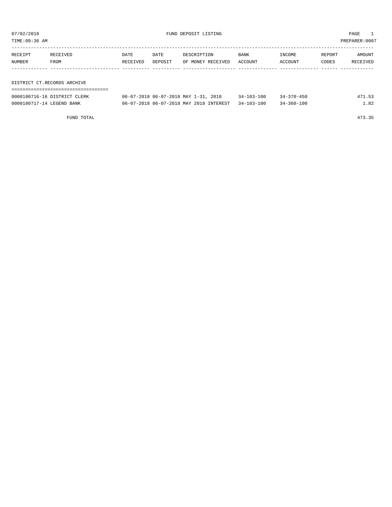TIME:09:36 AM PREPARER:0007

| RECEIPT | RECEIVED                    | DATE     | DATE    | DESCRIPTION       | BANK    | INCOME  | REPORT | AMOUNT   |  |  |
|---------|-----------------------------|----------|---------|-------------------|---------|---------|--------|----------|--|--|
| NUMBER  | FROM                        | RECEIVED | DEPOSIT | OF MONEY RECEIVED | ACCOUNT | ACCOUNT | CODES  | RECEIVED |  |  |
|         |                             |          |         |                   |         |         |        |          |  |  |
|         |                             |          |         |                   |         |         |        |          |  |  |
|         | DISTRICT CT.RECORDS ARCHIVE |          |         |                   |         |         |        |          |  |  |

===================================

| 0000180716-16 DISTRICT CLERK | 06-07-2018 06-07-2018 MAY 1-31, 2018               | $34 - 103 - 100$ | $34 - 370 - 450$ | 471.53 |
|------------------------------|----------------------------------------------------|------------------|------------------|--------|
| 0000180717-14 LEGEND BANK    | 06-07-2018 06-07-2018 MAY 2018 INTEREST 34-103-100 |                  | $34 - 360 - 100$ | l.82   |

FUND TOTAL 473.35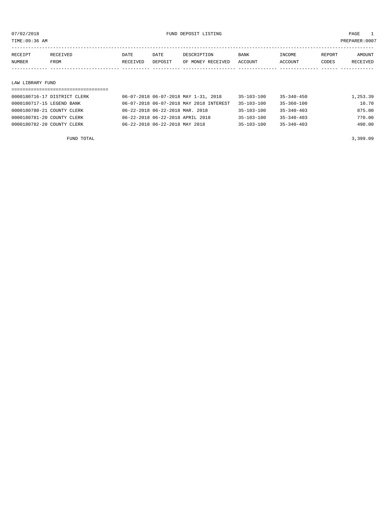TIME:09:36 AM PREPARER:0007

| RECEIPT | RECEIVED | DATE     | DATE    | DESCRIPTION       | <b>BANK</b> | INCOME  | REPORT | AMOUNT   |
|---------|----------|----------|---------|-------------------|-------------|---------|--------|----------|
| NUMBER  | FROM     | RECEIVED | DEPOSIT | OF MONEY RECEIVED | ACCOUNT     | ACCOUNT | CODES  | RECEIVED |
|         |          |          |         |                   |             |         |        |          |

#### LAW LIBRARY FUND

#### ===================================

| 0000180716-17 DISTRICT CLERK | 06-07-2018 06-07-2018 MAY 1-31, 2018    | $35 - 103 - 100$ | $35 - 340 - 450$ | 1,253.39 |
|------------------------------|-----------------------------------------|------------------|------------------|----------|
| 0000180717-15 LEGEND BANK    | 06-07-2018 06-07-2018 MAY 2018 INTEREST | $35 - 103 - 100$ | 35-360-100       | 10.70    |
| 0000180780-21 COUNTY CLERK   | 06-22-2018 06-22-2018 MAR. 2018         | 35-103-100       | $35 - 340 - 403$ | 875.00   |
| 0000180781-20 COUNTY CLERK   | 06-22-2018 06-22-2018 APRIL 2018        | 35-103-100       | $35 - 340 - 403$ | 770.00   |
| 0000180782-20 COUNTY CLERK   | 06-22-2018 06-22-2018 MAY 2018          | $35 - 103 - 100$ | $35 - 340 - 403$ | 490.00   |
|                              |                                         |                  |                  |          |

FUND TOTAL  $3,399.09$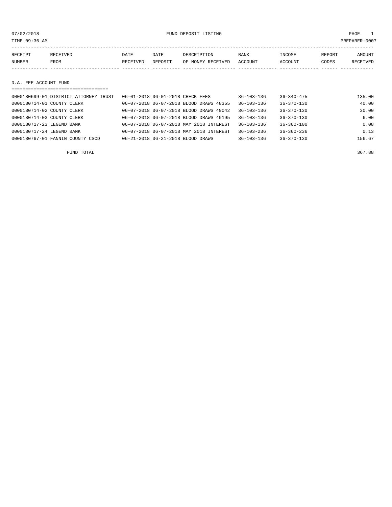| TIME:09:36 AM         |          |          |         |                   |             |         |        | PREPARER:0007 |
|-----------------------|----------|----------|---------|-------------------|-------------|---------|--------|---------------|
|                       |          |          |         |                   |             |         |        |               |
| RECEIPT               | RECEIVED | DATE     | DATE    | DESCRIPTION       | <b>BANK</b> | INCOME  | REPORT | AMOUNT        |
| NUMBER                | FROM     | RECEIVED | DEPOSIT | OF MONEY RECEIVED | ACCOUNT     | ACCOUNT | CODES  | RECEIVED      |
|                       |          |          |         |                   |             |         |        |               |
|                       |          |          |         |                   |             |         |        |               |
| D.A. FEE ACCOUNT FUND |          |          |         |                   |             |         |        |               |
|                       |          |          |         |                   |             |         |        |               |

| 0000180699-01 DISTRICT ATTORNEY TRUST | 06-01-2018 06-01-2018 CHECK FEES        | $36 - 103 - 136$ | $36 - 340 - 475$ | 135.00 |
|---------------------------------------|-----------------------------------------|------------------|------------------|--------|
| 0000180714-01 COUNTY CLERK            | 06-07-2018 06-07-2018 BLOOD DRAWS 48355 | $36 - 103 - 136$ | $36 - 370 - 130$ | 40.00  |
| 0000180714-02 COUNTY CLERK            | 06-07-2018 06-07-2018 BLOOD DRAWS 49042 | $36 - 103 - 136$ | $36 - 370 - 130$ | 30.00  |
| 0000180714-03 COUNTY CLERK            | 06-07-2018 06-07-2018 BLOOD DRAWS 49195 | $36 - 103 - 136$ | $36 - 370 - 130$ | 6.00   |
| 0000180717-23 LEGEND BANK             | 06-07-2018 06-07-2018 MAY 2018 INTEREST | $36 - 103 - 136$ | $36 - 360 - 100$ | 0.08   |
| 0000180717-24 LEGEND BANK             | 06-07-2018 06-07-2018 MAY 2018 INTEREST | $36 - 103 - 236$ | $36 - 360 - 236$ | 0.13   |
| 0000180767-01 FANNIN COUNTY CSCD      | 06-21-2018 06-21-2018 BLOOD DRAWS       | $36 - 103 - 136$ | $36 - 370 - 130$ | 156.67 |

FUND TOTAL 367.88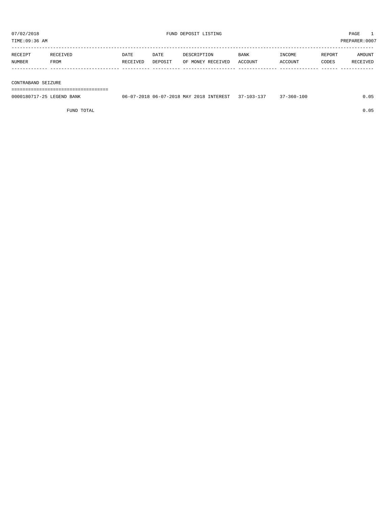| RECEIPT | RECEIVED    | DATE     | DATE    | DESCRIPTION       | <b>BANK</b> | INCOME         | REPORT | AMOUNT          |
|---------|-------------|----------|---------|-------------------|-------------|----------------|--------|-----------------|
| NUMBER  | <b>FROM</b> | RECEIVED | DEPOSIT | OF MONEY RECEIVED | ACCOUNT     | <b>ACCOUNT</b> | CODES  | <b>RECEIVED</b> |
|         |             |          |         |                   |             |                |        |                 |

#### CONTRABAND SEIZURE

===================================

| 0000180717-25 LEGEND BANK | 06-07-2018 06-07-2018 MAY 2018 INTEREST 37-103-137 | 37-360-100 | 0.05 |
|---------------------------|----------------------------------------------------|------------|------|
|                           |                                                    |            |      |

FUND TOTAL 0.05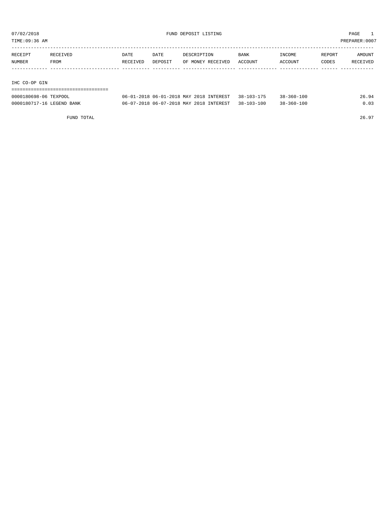TIME:09:36 AM PREPARER:0007

| RECEIPT | RECEIVED | DATE     | DATE    | DESCRIPTION       | <b>BANK</b> | INCOME  | REPORT | AMOUNT   |
|---------|----------|----------|---------|-------------------|-------------|---------|--------|----------|
| NUMBER  | FROM     | RECEIVED | DEPOSIT | OF MONEY RECEIVED | ACCOUNT     | ACCOUNT | CODES  | RECEIVED |
|         |          |          |         |                   |             |         |        |          |
|         |          |          |         |                   |             |         |        |          |

### IHC CO-OP GIN

| ---------------------------------- |                                                    |                  |       |
|------------------------------------|----------------------------------------------------|------------------|-------|
| 0000180698-06 TEXPOOL              | 06-01-2018 06-01-2018 MAY 2018 INTEREST 38-103-175 | $38 - 360 - 100$ | 26.94 |
| 0000180717-16 LEGEND BANK          | 06-07-2018 06-07-2018 MAY 2018 INTEREST 38-103-100 | $38 - 360 - 100$ | 0.03  |

FUND TOTAL 26.97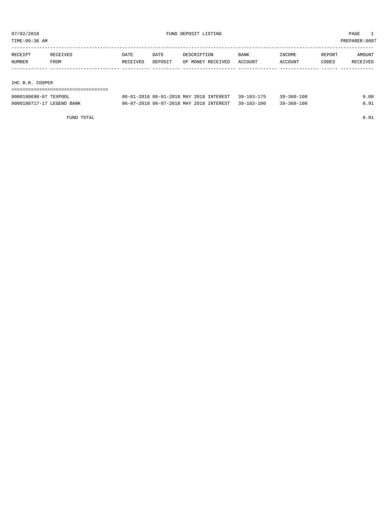TIME:09:36 AM PREPARER:0007

| RECEIPT | RECEIVED | DATE     | <b>DATE</b> | DESCRIPTION       | BANK    | INCOME  | REPORT | AMOUNT   |
|---------|----------|----------|-------------|-------------------|---------|---------|--------|----------|
| NUMBER  | FROM     | RECEIVED | DEPOSIT     | OF MONEY RECEIVED | ACCOUNT | ACCOUNT | CODES  | RECEIVED |
|         |          |          |             |                   |         |         |        |          |
|         |          |          |             |                   |         |         |        |          |

#### IHC B.R. COOPER

| ---------------------------- |                                                    |            |      |
|------------------------------|----------------------------------------------------|------------|------|
| 0000180698-07 TEXPOOL        | 06-01-2018 06-01-2018 MAY 2018 INTEREST 39-103-175 | 39-360-100 | 9.00 |
| 0000180717-17 LEGEND BANK    | 06-07-2018 06-07-2018 MAY 2018 INTEREST 39-103-100 | 39-360-100 | 0.91 |

FUND TOTAL 9.91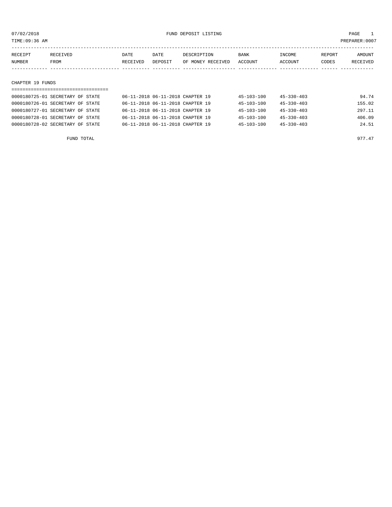07/02/2018 FUND DEPOSIT LISTING PAGE 1

| RECEIPT | RECEIVED | DATE     | DATE    | DESCRIPTION       | BANK    | INCOME  | REPORT | AMOUNT   |
|---------|----------|----------|---------|-------------------|---------|---------|--------|----------|
| NUMBER  | FROM     | RECEIVED | DEPOSIT | OF MONEY RECEIVED | ACCOUNT | ACCOUNT | CODES  | RECEIVED |
|         |          |          |         |                   |         |         |        |          |
|         |          |          |         |                   |         |         |        |          |

#### CHAPTER 19 FUNDS

| 0000180725-01 SECRETARY OF STATE |  | 06-11-2018 06-11-2018 CHAPTER 19 |  | $45 - 103 - 100$ | $45 - 330 - 403$ | 94.74  |
|----------------------------------|--|----------------------------------|--|------------------|------------------|--------|
| 0000180726-01 SECRETARY OF STATE |  | 06-11-2018 06-11-2018 CHAPTER 19 |  | $45 - 103 - 100$ | $45 - 330 - 403$ | 155.02 |
| 0000180727-01 SECRETARY OF STATE |  | 06-11-2018 06-11-2018 CHAPTER 19 |  | $45 - 103 - 100$ | $45 - 330 - 403$ | 297.11 |
| 0000180728-01 SECRETARY OF STATE |  | 06-11-2018 06-11-2018 CHAPTER 19 |  | $45 - 103 - 100$ | $45 - 330 - 403$ | 406.09 |
| 0000180728-02 SECRETARY OF STATE |  | 06-11-2018 06-11-2018 CHAPTER 19 |  | $45 - 103 - 100$ | $45 - 330 - 403$ | 24.51  |
|                                  |  |                                  |  |                  |                  |        |

FUND TOTAL 977.47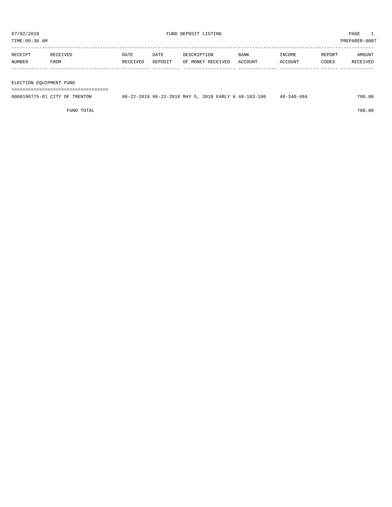TIME:09:36 AM PREPARER:0007

| RECEIPT | 'TVED | DATE            | DATE           | DESCRIPTION             | <b>BANK</b>    | "NCOME | <b>REPORT</b> | AMOUNT          |
|---------|-------|-----------------|----------------|-------------------------|----------------|--------|---------------|-----------------|
| NUMBER  | FROM  | <b>RECEIVED</b> | <b>DEPOSTT</b> | RECEIVED<br>OF<br>M∩NEY | <b>ACCOUNT</b> | CCOUNT | CODES         | <b>RECEIVED</b> |
|         |       |                 |                |                         |                |        |               |                 |

#### ELECTION EQUIPMENT FUND

===================================

| 0000180775-01 CITY OF TRENTON | 06-22-2018 06-22-2018 MAY 5, 2018 EARLY A 48-103-100 | $48 - 340 - 484$ | 700.00 |
|-------------------------------|------------------------------------------------------|------------------|--------|
|                               |                                                      |                  |        |

FUND TOTAL 700.00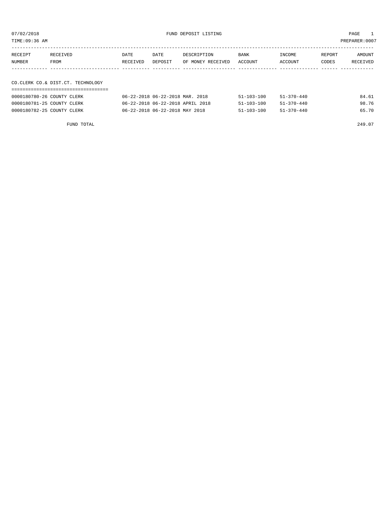07/02/2018 FUND DEPOSIT LISTING PAGE 1

| RECEIPT | RECEIVED    | DATE     | DATE    | DESCRIPTION               | BANK | INCOME  | REPORT | <b>AMOUNT</b> |
|---------|-------------|----------|---------|---------------------------|------|---------|--------|---------------|
| NUMBER  | <b>FROM</b> | RECEIVED | DEPOSIT | OF MONEY RECEIVED ACCOUNT |      | ACCOUNT | CODES  | RECEIVED      |
|         |             |          |         |                           |      |         |        |               |

# CO.CLERK CO.& DIST.CT. TECHNOLOGY

| 0000180780-26 COUNTY CLERK | 06-22-2018 06-22-2018 MAR. 2018  | $51 - 103 - 100$ | $51 - 370 - 440$ | 84.61 |
|----------------------------|----------------------------------|------------------|------------------|-------|
| 0000180781-25 COUNTY CLERK | 06-22-2018 06-22-2018 APRIL 2018 | $51 - 103 - 100$ | $51 - 370 - 440$ | 98.76 |
| 0000180782-25 COUNTY CLERK | 06-22-2018 06-22-2018 MAY 2018   | $51 - 103 - 100$ | $51 - 370 - 440$ | 65.70 |

FUND TOTAL 249.07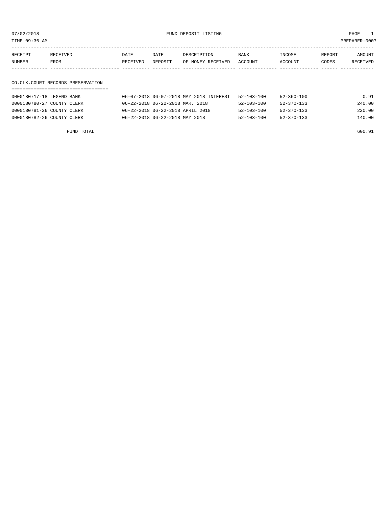07/02/2018 FUND DEPOSIT LISTING PAGE 1

| RECEIPT | RECEIVED | DATE     | DATE    | DESCRIPTION       | <b>BANK</b> | INCOME  | REPORT | AMOUNT          |
|---------|----------|----------|---------|-------------------|-------------|---------|--------|-----------------|
| NUMBER  | FROM     | RECEIVED | DEPOSIT | OF MONEY RECEIVED | ACCOUNT     | ACCOUNT | CODES  | <b>RECEIVED</b> |
|         |          |          |         |                   |             |         |        |                 |

# CO.CLK.COURT RECORDS PRESERVATION

| 0000180717-18 LEGEND BANK  | 06-07-2018 06-07-2018 MAY 2018 INTEREST | $52 - 103 - 100$ | 52-360-100       | 0.91   |
|----------------------------|-----------------------------------------|------------------|------------------|--------|
| 0000180780-27 COUNTY CLERK | 06-22-2018 06-22-2018 MAR. 2018         | 52-103-100       | 52-370-133       | 240.00 |
| 0000180781-26 COUNTY CLERK | 06-22-2018 06-22-2018 APRIL 2018        | $52 - 103 - 100$ | $52 - 370 - 133$ | 220.00 |
| 0000180782-26 COUNTY CLERK | 06-22-2018 06-22-2018 MAY 2018          | $52 - 103 - 100$ | $52 - 370 - 133$ | 140.00 |

FUND TOTAL 600.91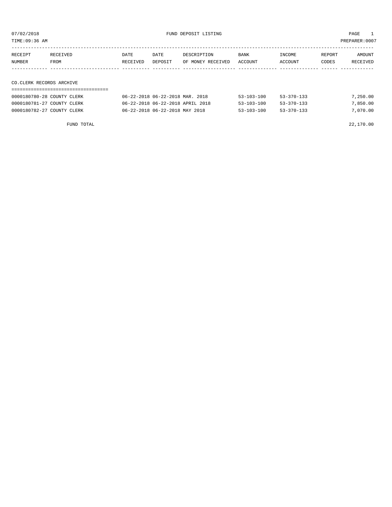TIME:09:36 AM PREPARER:0007

| RECEIPT | RECEIVED | <b>DATE</b> | DATE    | DESCRIPTION       | <b>BANK</b> | INCOME  | REPORT | AMOUNT   |
|---------|----------|-------------|---------|-------------------|-------------|---------|--------|----------|
| NUMBER  | FROM     | RECEIVED    | DEPOSIT | OF MONEY RECEIVED | ACCOUNT     | ACCOUNT | CODES  | RECEIVED |
|         |          |             |         |                   |             |         |        |          |
|         |          |             |         |                   |             |         |        |          |

# CO.CLERK RECORDS ARCHIVE

| 0000180780-28 COUNTY CLERK | 06-22-2018 06-22-2018 MAR. 2018  | 53-103-100       | 53-370-133       | 7,250.00 |
|----------------------------|----------------------------------|------------------|------------------|----------|
| 0000180781-27 COUNTY CLERK | 06-22-2018 06-22-2018 APRIL 2018 | $53 - 103 - 100$ | $53 - 370 - 133$ | 7,850.00 |
| 0000180782-27 COUNTY CLERK | 06-22-2018 06-22-2018 MAY 2018   | $53 - 103 - 100$ | $53 - 370 - 133$ | 7,070.00 |

FUND TOTAL 22,170.00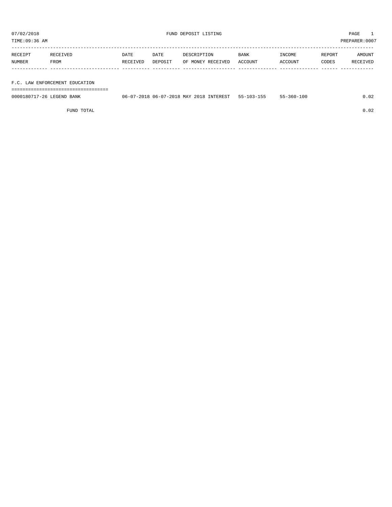TIME:09:36 AM PREPARER:0007

| RECEIPT | RECEIVED    | DATE     | DATE    | DESCRIPTION       | <b>BANK</b> | INCOME  | REPORT | AMOUNT   |
|---------|-------------|----------|---------|-------------------|-------------|---------|--------|----------|
| NUMBER  | <b>FROM</b> | RECEIVED | DEPOSIT | OF MONEY RECEIVED | ACCOUNT     | ACCOUNT | CODES  | RECEIVED |
|         |             |          |         |                   |             |         |        |          |
|         |             |          |         |                   |             |         |        |          |

### F.C. LAW ENFORCEMENT EDUCATION

===================================

| 0000180717-26 LEGEND BANK | $-2018$ 06-07-2018 MAY 2018<br>INTEREST<br>$06 - 07 - 201$ | $-1$<br>$55 - 103 - 155$ | -360-100 |  |
|---------------------------|------------------------------------------------------------|--------------------------|----------|--|
|                           |                                                            |                          |          |  |

FUND TOTAL 0.02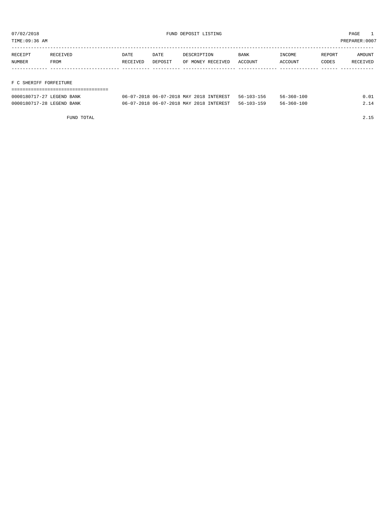TIME:09:36 AM PREPARER:0007

| RECEIPT | RECEIVED    | DATE     | DATE    | DESCRIPTION       | BANK    | INCOME         | REPORT | AMOUNT   |
|---------|-------------|----------|---------|-------------------|---------|----------------|--------|----------|
| NUMBER  | <b>FROM</b> | RECEIVED | DEPOSIT | OF MONEY RECEIVED | ACCOUNT | <b>ACCOUNT</b> | CODES  | RECEIVED |
|         |             |          |         |                   |         |                |        |          |
|         |             |          |         |                   |         |                |        |          |

### F C SHERIFF FORFEITURE

| -------------------       |                                                    |            |      |
|---------------------------|----------------------------------------------------|------------|------|
| 0000180717-27 LEGEND BANK | 06-07-2018 06-07-2018 MAY 2018 INTEREST 56-103-156 | 56-360-100 | 0.01 |
| 0000180717-28 LEGEND BANK | 06-07-2018 06-07-2018 MAY 2018 INTEREST 56-103-159 | 56-360-100 | 2.14 |

FUND TOTAL 2.15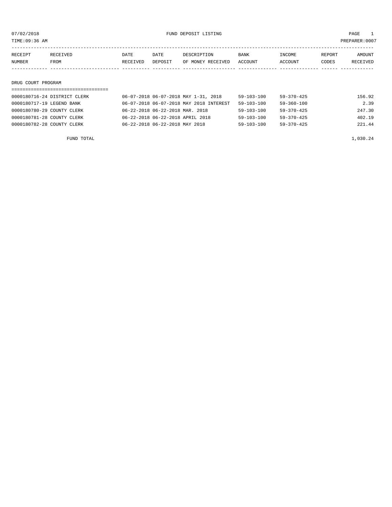07/02/2018 PAGE 1

TIME:09:36 AM PREPARER:0007

| RECEIPT | RECEIVED | <b>DATE</b> | DATE    | DESCRIPTION       | <b>BANK</b> | INCOME  | REPORT | AMOUNT   |
|---------|----------|-------------|---------|-------------------|-------------|---------|--------|----------|
| NUMBER  | FROM     | RECEIVED    | DEPOSIT | OF MONEY RECEIVED | ACCOUNT     | ACCOUNT | CODES  | RECEIVED |
|         |          |             |         |                   |             |         |        |          |
|         |          |             |         |                   |             |         |        |          |

#### DRUG COURT PROGRAM

# =================================== 0000180716-24 DISTRICT CLERK 06-07-2018 06-07-2018 MAY 1-31, 2018 59-103-100 59-370-425 156.92 0000180717-19 LEGEND BANK 06-07-2018 06-07-2018 MAY 2018 INTEREST 59-103-100 59-360-100 2.39 0000180780-29 COUNTY CLERK 66-22-2018 06-22-2018 MAR. 2018 59-103-100 59-370-425 247.30 0000180781-28 COUNTY CLERK 66-22-2018 06-22-2018 APRIL 2018 59-103-100 59-370-425 402.19 0000180782-28 COUNTY CLERK 66-22-2018 06-22-2018 MAY 2018 59-103-100 59-370-425 221.44

FUND TOTAL  $1,030.24$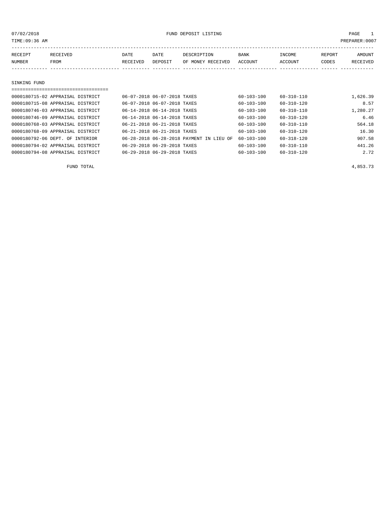07/02/2018 FUND DEPOSIT LISTING PAGE 1

| RECEIPT       | RECEIVED | DATE     | DATE    | DESCRIPTION       | <b>BANK</b> | INCOME  | REPORT | <b>AMOUNT</b> |
|---------------|----------|----------|---------|-------------------|-------------|---------|--------|---------------|
| <b>NUMBER</b> | FROM     | RECEIVED | DEPOSIT | OF MONEY RECEIVED | ACCOUNT     | ACCOUNT | CODES  | RECEIVED      |
|               |          |          |         |                   |             |         |        |               |
| SINKING FUND  |          |          |         |                   |             |         |        |               |

# =================================== 0000180715-02 APPRAISAL DISTRICT 06-07-2018 06-07-2018 TAXES 60-103-100 60-310-110 1,626.39

| 0000180715-08 APPRAISAL DISTRICT | 06-07-2018 06-07-2018 TAXES |                                          | $60 - 103 - 100$ | $60 - 310 - 120$ | 8.57     |
|----------------------------------|-----------------------------|------------------------------------------|------------------|------------------|----------|
| 0000180746-03 APPRAISAL DISTRICT | 06-14-2018 06-14-2018 TAXES |                                          | $60 - 103 - 100$ | $60 - 310 - 110$ | 1,280.27 |
| 0000180746-09 APPRAISAL DISTRICT | 06-14-2018 06-14-2018 TAXES |                                          | $60 - 103 - 100$ | $60 - 310 - 120$ | 6.46     |
| 0000180768-03 APPRAISAL DISTRICT | 06-21-2018 06-21-2018 TAXES |                                          | $60 - 103 - 100$ | $60 - 310 - 110$ | 564.18   |
| 0000180768-09 APPRAISAL DISTRICT | 06-21-2018 06-21-2018 TAXES |                                          | $60 - 103 - 100$ | $60 - 310 - 120$ | 16.30    |
| 0000180792-06 DEPT. OF INTERIOR  |                             | 06-28-2018 06-28-2018 PAYMENT IN LIEU OF | $60 - 103 - 100$ | $60 - 318 - 120$ | 907.58   |
| 0000180794-02 APPRAISAL DISTRICT | 06-29-2018 06-29-2018 TAXES |                                          | $60 - 103 - 100$ | $60 - 310 - 110$ | 441.26   |
| 0000180794-08 APPRAISAL DISTRICT | 06-29-2018 06-29-2018 TAXES |                                          | $60 - 103 - 100$ | $60 - 310 - 120$ | 2.72     |
|                                  |                             |                                          |                  |                  |          |

FUND TOTAL  $4,853.73$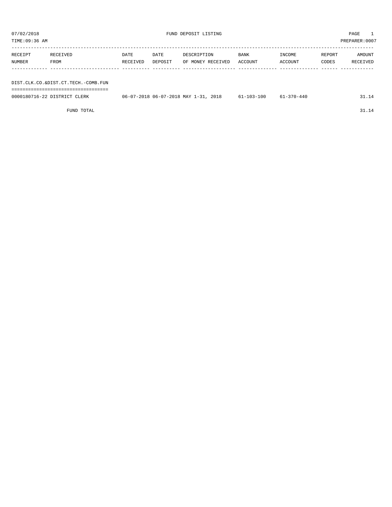| TIME:09:36 AM<br>PREPARER:0007 |                                     |          |         |                   |             |         |        |          |  |
|--------------------------------|-------------------------------------|----------|---------|-------------------|-------------|---------|--------|----------|--|
| RECEIPT                        | RECEIVED                            | DATE     | DATE    | DESCRIPTION       | <b>BANK</b> | INCOME  | REPORT | AMOUNT   |  |
| NUMBER                         | FROM                                | RECEIVED | DEPOSIT | OF MONEY RECEIVED | ACCOUNT     | ACCOUNT | CODES  | RECEIVED |  |
|                                |                                     |          |         |                   |             |         |        |          |  |
|                                | DIST.CLK.CO.&DIST.CT.TECH.-COMB.FUN |          |         |                   |             |         |        |          |  |

| 0000180716-22 DISTRICT CLERK | 06-07-2018 06-07-2018 MAY 1-31, 2018 | $61 - 103 - 100$ | $61 - 370 - 440$ | 31.14 |
|------------------------------|--------------------------------------|------------------|------------------|-------|
|                              |                                      |                  |                  |       |

FUND TOTAL 31.14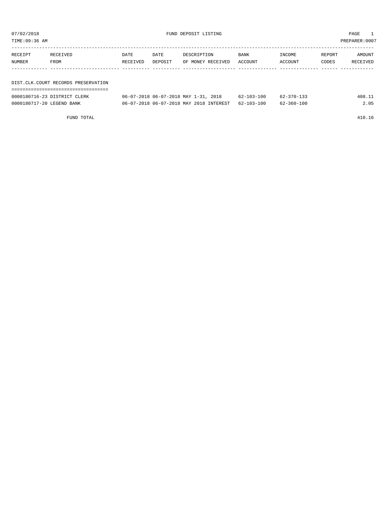| TIME:09:36 AM |                                     |          |         |                                      |                  |                  |        | PREPARER: 0007 |
|---------------|-------------------------------------|----------|---------|--------------------------------------|------------------|------------------|--------|----------------|
|               |                                     |          |         |                                      |                  |                  |        |                |
| RECEIPT       | RECEIVED                            | DATE     | DATE    | DESCRIPTION                          | BANK             | INCOME           | REPORT | AMOUNT         |
| NUMBER        | FROM                                | RECEIVED | DEPOSIT | OF MONEY RECEIVED                    | ACCOUNT          | ACCOUNT          | CODES  | RECEIVED       |
|               |                                     |          |         |                                      |                  |                  |        |                |
|               |                                     |          |         |                                      |                  |                  |        |                |
|               | DIST.CLK.COURT RECORDS PRESERVATION |          |         |                                      |                  |                  |        |                |
|               |                                     |          |         |                                      |                  |                  |        |                |
|               | 0000180716-23 DISTRICT CLERK        |          |         | 06-07-2018 06-07-2018 MAY 1-31, 2018 | $62 - 103 - 100$ | $62 - 370 - 133$ |        | 408.11         |

0000180717-20 LEGEND BANK 06-07-2018 06-07-2018 MAY 2018 INTEREST 62-103-100 62-360-100 2.05

FUND TOTAL 410.16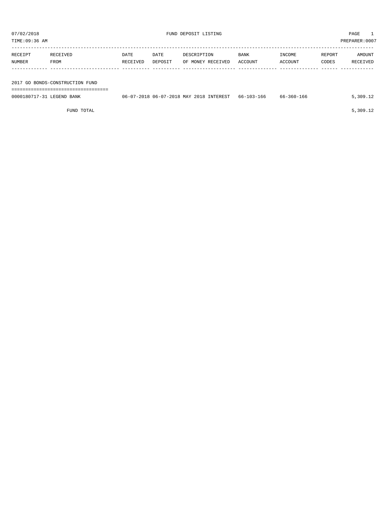| TIME:09:36 AM<br>PREPARER: 0007 |                                 |          |         |                                         |             |            |        |          |  |
|---------------------------------|---------------------------------|----------|---------|-----------------------------------------|-------------|------------|--------|----------|--|
| RECEIPT                         | RECEIVED                        | DATE     | DATE    | DESCRIPTION                             | <b>BANK</b> | INCOME     | REPORT | AMOUNT   |  |
| NUMBER                          | FROM                            | RECEIVED | DEPOSIT | OF MONEY RECEIVED                       | ACCOUNT     | ACCOUNT    | CODES  | RECEIVED |  |
|                                 |                                 |          |         |                                         |             |            |        |          |  |
|                                 | 2017 GO BONDS-CONSTRUCTION FUND |          |         |                                         |             |            |        |          |  |
|                                 |                                 |          |         |                                         |             |            |        |          |  |
| 0000180717-31 LEGEND BANK       |                                 |          |         | 06-07-2018 06-07-2018 MAY 2018 INTEREST | 66-103-166  | 66-360-166 |        | 5,309.12 |  |

FUND TOTAL  $5,309.12$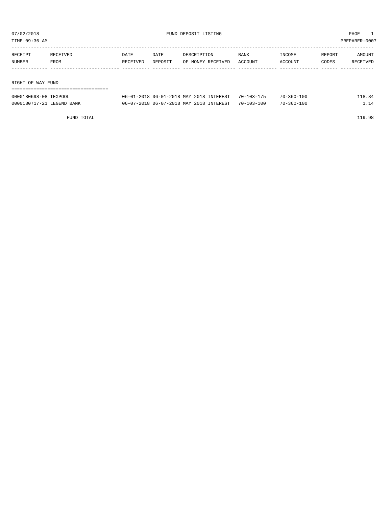| RIGHT OF WAY FUND |          |          |         |                   |         |         |        |               |
|-------------------|----------|----------|---------|-------------------|---------|---------|--------|---------------|
|                   |          |          |         |                   |         |         |        |               |
| NUMBER            | FROM     | RECEIVED | DEPOSIT | OF MONEY RECEIVED | ACCOUNT | ACCOUNT | CODES  | RECEIVED      |
| RECEIPT           | RECEIVED | DATE     | DATE    | DESCRIPTION       | BANK    | INCOME  | REPORT | AMOUNT        |
|                   |          |          |         |                   |         |         |        |               |
| TIME:09:36 AM     |          |          |         |                   |         |         |        | PREPARER:0007 |

| 0000180698-08<br>TEXPOOL                  | INTEREST<br>MAY<br>201.R<br>$-20$<br>$-201$<br>$06 - u$<br>06. | $70 -$<br>. U 3 – .            | $70-$<br>. 00<br>$5011 -$ |  |
|-------------------------------------------|----------------------------------------------------------------|--------------------------------|---------------------------|--|
| 000018071<br><b>BANK</b><br><b>FCFNIT</b> | <b>TNTEREST</b><br>, MAY<br>06-07-20<br>201.R<br>$\sim$<br>06. | ' 00<br>$70-$<br><u>າດຈ- .</u> | .00<br>$70 -$<br>360-     |  |

FUND TOTAL 119.98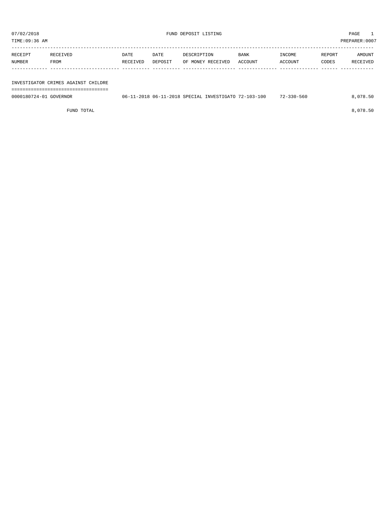| 07/02/2018<br>FUND DEPOSIT LISTING<br>TIME:09:36 AM |                                     |                  |                 |                                  |                 |                   | PAGE<br>PREPARER: 0007 |                    |
|-----------------------------------------------------|-------------------------------------|------------------|-----------------|----------------------------------|-----------------|-------------------|------------------------|--------------------|
| RECEIPT<br>NUMBER                                   | RECEIVED<br>FROM                    | DATE<br>RECEIVED | DATE<br>DEPOSIT | DESCRIPTION<br>OF MONEY RECEIVED | BANK<br>ACCOUNT | INCOME<br>ACCOUNT | REPORT<br>CODES        | AMOUNT<br>RECEIVED |
|                                                     | INVESTIGATOR CRIMES AGAINST CHILDRE |                  |                 |                                  |                 |                   |                        |                    |

0000180724-01 GOVERNOR 06-11-2018 06-11-2018 SPECIAL INVESTIGATO 72-103-100 72-330-560 8,078.50

FUND TOTAL 8,078.50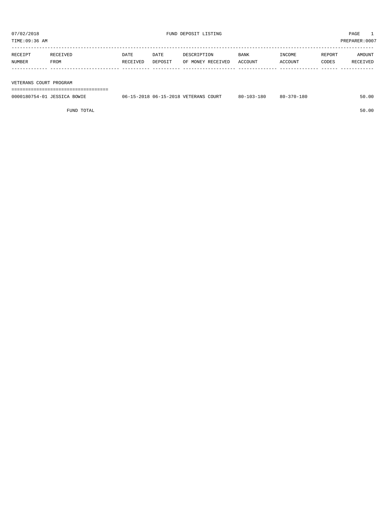TIME:09:36 AM PREPARER:0007

| RECEIPT | RECEIVED | <b>DATE</b> | DATE    | DESCRIPTION       | <b>BANK</b> | INCOME  | REPORT | AMOUNT   |
|---------|----------|-------------|---------|-------------------|-------------|---------|--------|----------|
| NUMBER  | FROM     | RECEIVED    | DEPOSIT | OF MONEY RECEIVED | ACCOUNT     | ACCOUNT | CODES  | RECEIVED |
|         |          |             |         |                   |             |         |        |          |
|         |          |             |         |                   |             |         |        |          |

VETERANS COURT PROGRAM

===================================

| 0000180754-01 JESSICA BOWIE | 06-15-2018 06-15-2018 VETERANS COURT | $80 - 103 - 180$ | $80 - 370 - 180$ | 50.00 |
|-----------------------------|--------------------------------------|------------------|------------------|-------|
|                             |                                      |                  |                  |       |

FUND TOTAL 50.00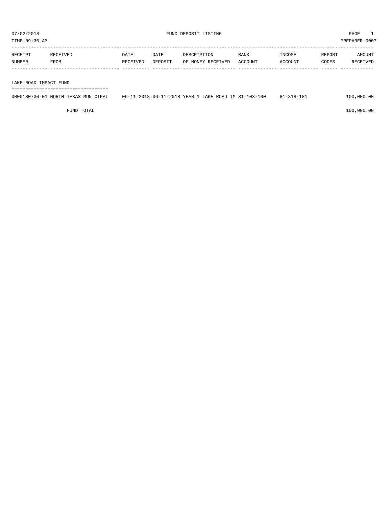| RECEIPT | RECEIVED | DATE     | DATE    | DESCRIPTION       | <b>BANK</b> | INCOME  | REPORT | AMOUNT   |
|---------|----------|----------|---------|-------------------|-------------|---------|--------|----------|
| NUMBER  | FROM     | RECEIVED | DEPOSIT | OF MONEY RECEIVED | ACCOUNT     | ACCOUNT | CODES  | RECEIVED |
|         |          |          |         |                   |             |         |        |          |
|         |          |          |         |                   |             |         |        |          |

LAKE ROAD IMPACT FUND

===================================

| 0000180730-01 NORTH TEXAS MUNICIPAL | 06-11-2018 06-11-2018 YEAR 1 LAKE ROAD IM 81-103-100 | 81-318-181 | 100,000.00 |
|-------------------------------------|------------------------------------------------------|------------|------------|
|-------------------------------------|------------------------------------------------------|------------|------------|

 $FUND$  to the contract of  $100,000.00$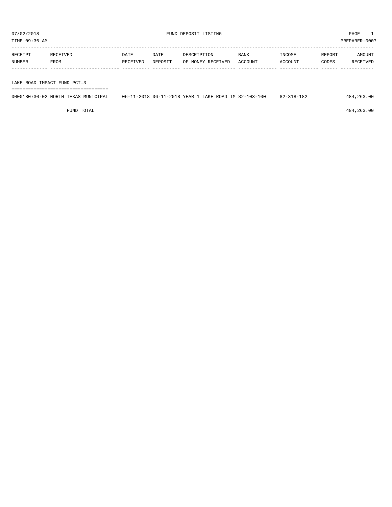| RECEIPT | RECEIVED | DATE     | DATE    | DESCRIPTION       | BANK    | INCOME         | REPORT | AMOUNT   |
|---------|----------|----------|---------|-------------------|---------|----------------|--------|----------|
| NUMBER  | FROM     | RECEIVED | DEPOSIT | OF MONEY RECEIVED | ACCOUNT | <b>ACCOUNT</b> | CODES  | RECEIVED |
|         |          |          |         |                   |         |                |        |          |
|         |          |          |         |                   |         |                |        |          |

LAKE ROAD IMPACT FUND PCT.3

| 0000180730-02 NORTH TEXAS MUNICIPAL | 06-11-2018 06-11-2018 YEAR 1 LAKE ROAD IM 82-103-100 | 82-318-182 | 484, 263.00 |
|-------------------------------------|------------------------------------------------------|------------|-------------|

FUND TOTAL 484,263.00

===================================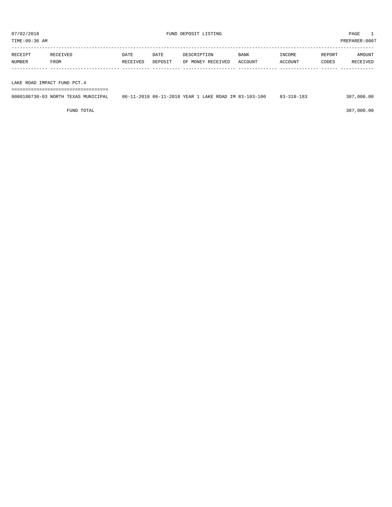TIME:09:36 AM PREPARER:0007

| RECEIPT | RECEIVED    | DATE     | DATE    | DESCRIPTION       | <b>BANK</b> | INCOME  | REPORT | AMOUNT   |
|---------|-------------|----------|---------|-------------------|-------------|---------|--------|----------|
| NUMBER  | <b>FROM</b> | RECEIVED | DEPOSIT | OF MONEY RECEIVED | ACCOUNT     | ACCOUNT | CODES  | RECEIVED |
|         |             |          |         |                   |             |         |        |          |
|         |             |          |         |                   |             |         |        |          |

LAKE ROAD IMPACT FUND PCT.4

===================================

| 0000180730-03 NORTH TEXAS MUNICIPAL<br>06-11-2018 06-11-2018 YEAR 1 LAKE ROAD IM 83-103-100<br>387,000.00<br>$83 - 318 - 183$ |  |
|-------------------------------------------------------------------------------------------------------------------------------|--|
|-------------------------------------------------------------------------------------------------------------------------------|--|

FUND TOTAL 387,000.00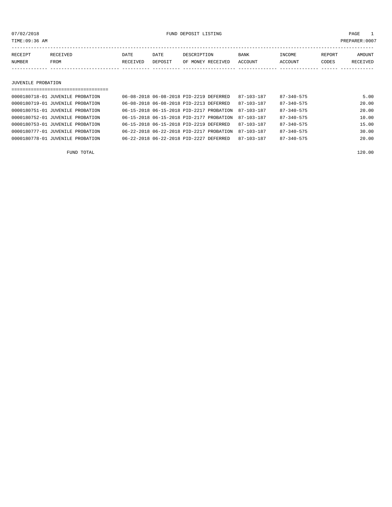07/02/2018 FUND DEPOSIT LISTING PAGE 1

| RECEIPT | <b>RECEIVED</b> | DATE            | DATE    | DESCRIPTION       | <b>BANK</b> | INCOME  | <b>REPORT</b> | AMOUNT          |
|---------|-----------------|-----------------|---------|-------------------|-------------|---------|---------------|-----------------|
| NUMBER  | FROM            | <b>RECEIVED</b> | DEPOSIT | OF MONEY RECEIVED | ACCOUNT     | ACCOUNT | CODES         | <b>RECEIVED</b> |
|         |                 |                 |         |                   |             |         |               |                 |

#### JUVENILE PROBATION

| ==================================== |                                          |  |                  |                  |       |
|--------------------------------------|------------------------------------------|--|------------------|------------------|-------|
| 0000180718-01 JUVENILE PROBATION     | 06-08-2018 06-08-2018 PID-2219 DEFERRED  |  | $87 - 103 - 187$ | 87-340-575       | 5.00  |
| 0000180719-01 JUVENILE PROBATION     | 06-08-2018 06-08-2018 PID-2213 DEFERRED  |  | $87 - 103 - 187$ | $87 - 340 - 575$ | 20.00 |
| 0000180751-01 JUVENILE PROBATION     | 06-15-2018 06-15-2018 PID-2217 PROBATION |  | 87-103-187       | $87 - 340 - 575$ | 20.00 |
| 0000180752-01 JUVENILE PROBATION     | 06-15-2018 06-15-2018 PID-2177 PROBATION |  | 87-103-187       | $87 - 340 - 575$ | 10.00 |
| 0000180753-01 JUVENILE PROBATION     | 06-15-2018 06-15-2018 PID-2219 DEFERRED  |  | 87-103-187       | $87 - 340 - 575$ | 15.00 |
| 0000180777-01 JUVENILE PROBATION     | 06-22-2018 06-22-2018 PID-2217 PROBATION |  | $87 - 103 - 187$ | $87 - 340 - 575$ | 30.00 |
| 0000180778-01 JUVENILE PROBATION     | 06-22-2018 06-22-2018 PID-2227 DEFERRED  |  | $87 - 103 - 187$ | $87 - 340 - 575$ | 20.00 |
|                                      |                                          |  |                  |                  |       |

FUND TOTAL 120.00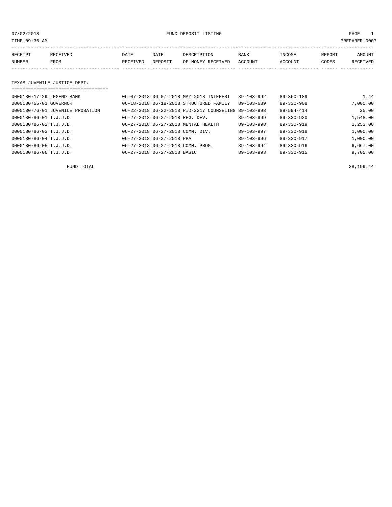07/02/2018 FUND DEPOSIT LISTING PAGE 1

| RECEIPT | <b>RECEIVED</b> | DATE     | DATE    | DESCRIPTION          | <b>BANK</b>    | INCOME  | <b>REPORT</b> | AMOUNT          |
|---------|-----------------|----------|---------|----------------------|----------------|---------|---------------|-----------------|
| NUMBER  | FROM            | RECEIVED | DEPOSIT | RECEIVED<br>OF MONEY | <b>ACCOUNT</b> | ACCOUNT | CODES         | <b>RECEIVED</b> |
|         |                 |          |         |                      |                |         |               |                 |

#### TEXAS JUVENILE JUSTICE DEPT.

| 0000180717-29 LEGEND BANK        |                           | 06-07-2018 06-07-2018 MAY 2018 INTEREST              | $89 - 103 - 992$ | $89 - 360 - 189$ | 1.44     |  |  |
|----------------------------------|---------------------------|------------------------------------------------------|------------------|------------------|----------|--|--|
| 0000180755-01 GOVERNOR           |                           | 06-18-2018 06-18-2018 STRUCTURED FAMILY              | $89 - 103 - 689$ | $89 - 330 - 908$ | 7,000.00 |  |  |
| 0000180776-01 JUVENILE PROBATION |                           | 06-22-2018 06-22-2018 PID-2217 COUNSELING 89-103-998 |                  | 89-594-414       | 25.00    |  |  |
| $0000180786 - 01$ T.J.J.D.       |                           | 06-27-2018 06-27-2018 REG. DEV.                      | $89 - 103 - 999$ | $89 - 330 - 920$ | 1,548.00 |  |  |
| 0000180786-02 T.J.J.D.           |                           | 06-27-2018 06-27-2018 MENTAL HEALTH                  | $89 - 103 - 998$ | $89 - 330 - 919$ | 1,253.00 |  |  |
| $0000180786 - 03$ T.J.J.D.       |                           | 06-27-2018 06-27-2018 COMM. DIV.                     | $89 - 103 - 997$ | $89 - 330 - 918$ | 1,000.00 |  |  |
| 0000180786-04 T.J.J.D.           | 06-27-2018 06-27-2018 PPA |                                                      | $89 - 103 - 996$ | 89-330-917       | 1,000.00 |  |  |
| 0000180786-05 T.J.J.D.           |                           | 06-27-2018 06-27-2018 COMM. PROG.                    | $89 - 103 - 994$ | 89-330-916       | 6,667.00 |  |  |
| 0000180786-06 T.J.J.D.           |                           | 06-27-2018 06-27-2018 BASIC                          | $89 - 103 - 993$ | $89 - 330 - 915$ | 9,705.00 |  |  |

FUND TOTAL 28,199.44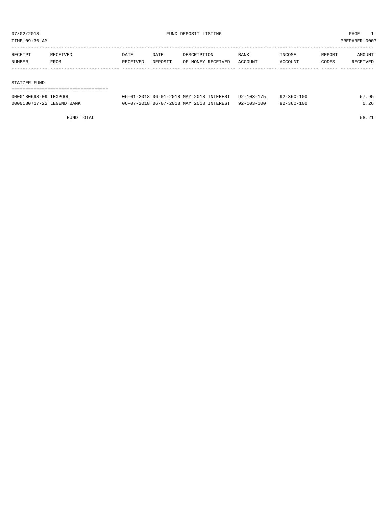TIME:09:36 AM PREPARER:0007

| RECEIPT | RECEIVED | DATE     | DATE    | DESCRIPTION       | <b>BANK</b> | INCOME  | REPORT | AMOUNT   |
|---------|----------|----------|---------|-------------------|-------------|---------|--------|----------|
| NUMBER  | FROM     | RECEIVED | DEPOSIT | OF MONEY RECEIVED | ACCOUNT     | ACCOUNT | CODES  | RECEIVED |
|         |          |          |         |                   |             |         |        |          |
|         |          |          |         |                   |             |         |        |          |

#### STATZER FUND

| 0000180698-09 TEXPOOL     | 06-01-2018 06-01-2018 MAY 2018 INTEREST            | 92-103-175 | 92-360-100       | 57.95 |
|---------------------------|----------------------------------------------------|------------|------------------|-------|
| 0000180717-22 LEGEND BANK | 06-07-2018 06-07-2018 MAY 2018 INTEREST 92-103-100 |            | $92 - 360 - 100$ | 0.26  |

FUND TOTAL 58.21